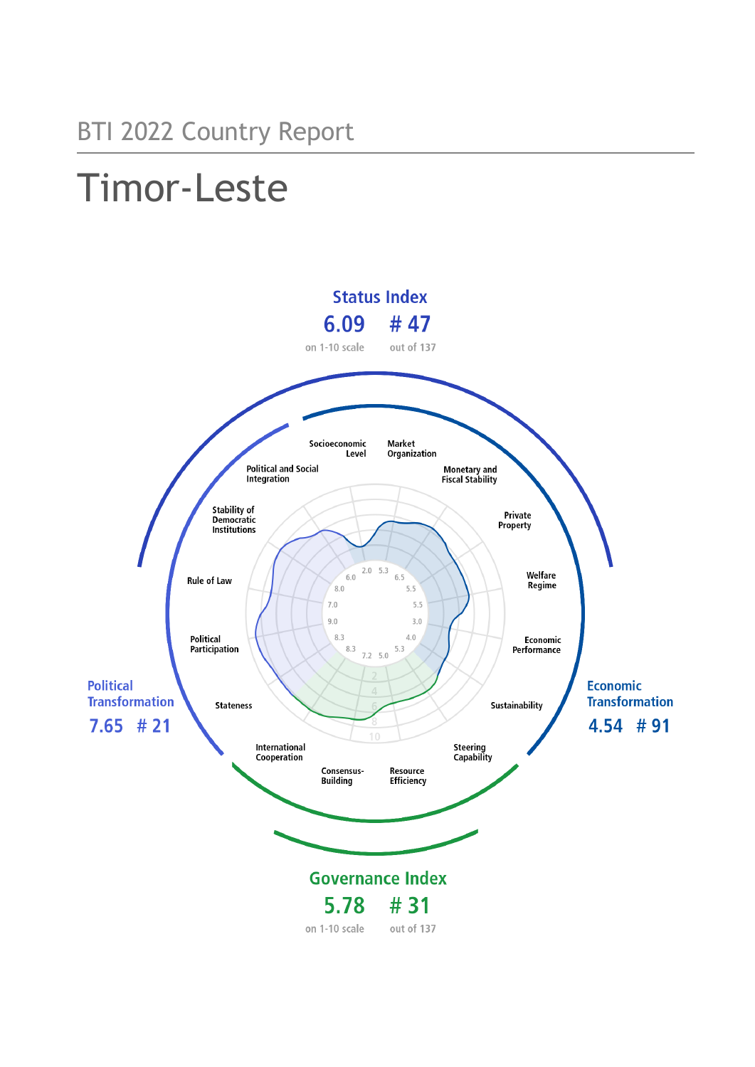# Timor-Leste

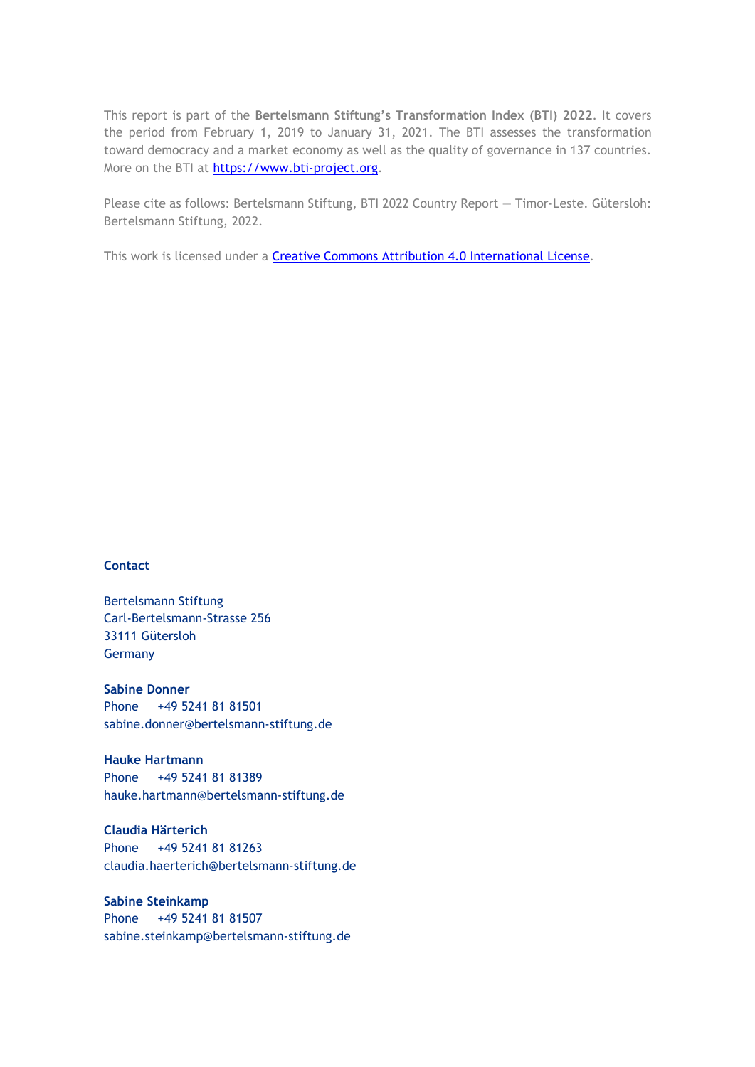This report is part of the **Bertelsmann Stiftung's Transformation Index (BTI) 2022**. It covers the period from February 1, 2019 to January 31, 2021. The BTI assesses the transformation toward democracy and a market economy as well as the quality of governance in 137 countries. More on the BTI at [https://www.bti-project.org.](https://www.bti-project.org/)

Please cite as follows: Bertelsmann Stiftung, BTI 2022 Country Report — Timor-Leste. Gütersloh: Bertelsmann Stiftung, 2022.

This work is licensed under a **Creative Commons Attribution 4.0 International License**.

#### **Contact**

Bertelsmann Stiftung Carl-Bertelsmann-Strasse 256 33111 Gütersloh Germany

**Sabine Donner** Phone +49 5241 81 81501 sabine.donner@bertelsmann-stiftung.de

**Hauke Hartmann** Phone +49 5241 81 81389 hauke.hartmann@bertelsmann-stiftung.de

**Claudia Härterich** Phone +49 5241 81 81263 claudia.haerterich@bertelsmann-stiftung.de

#### **Sabine Steinkamp** Phone +49 5241 81 81507 sabine.steinkamp@bertelsmann-stiftung.de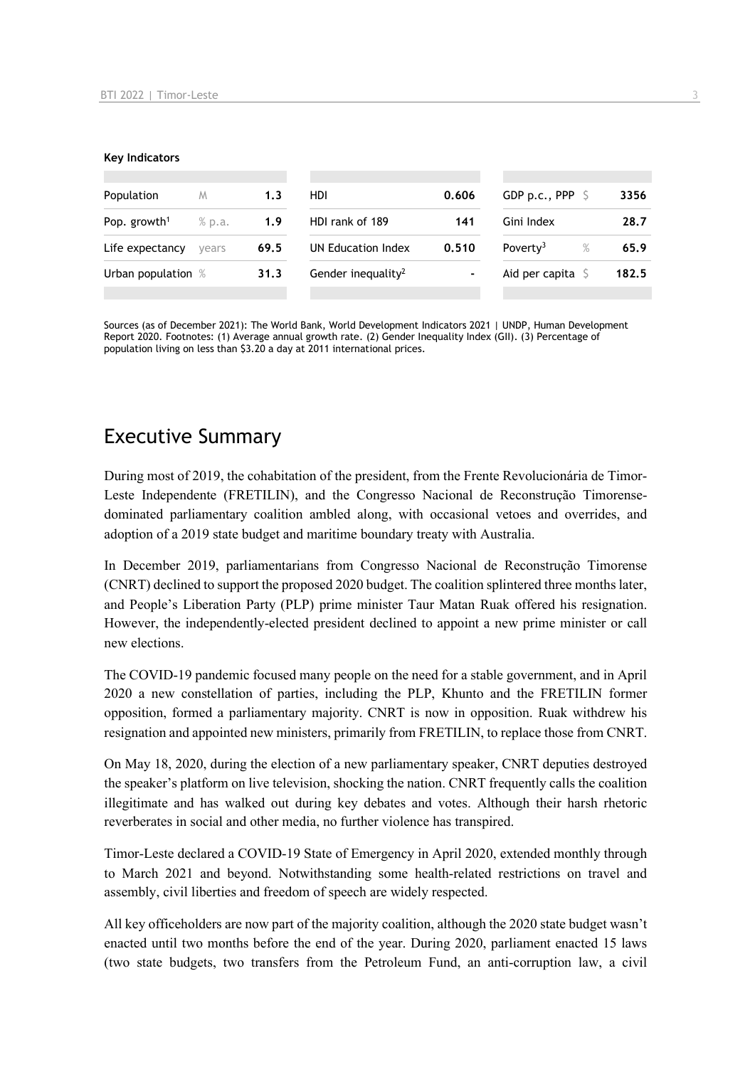#### **Key Indicators**

| Population               | M      | 1.3  | HDI                            | 0.606 | GDP p.c., PPP $\ S$          | 3356  |
|--------------------------|--------|------|--------------------------------|-------|------------------------------|-------|
| Pop. growth <sup>1</sup> | % p.a. | 1.9  | HDI rank of 189                | 141   | Gini Index                   | 28.7  |
| Life expectancy          | vears  | 69.5 | UN Education Index             | 0.510 | Poverty <sup>3</sup><br>$\%$ | 65.9  |
| Urban population %       |        | 31.3 | Gender inequality <sup>2</sup> | ۰     | Aid per capita $\sqrt{2}$    | 182.5 |
|                          |        |      |                                |       |                              |       |

Sources (as of December 2021): The World Bank, World Development Indicators 2021 | UNDP, Human Development Report 2020. Footnotes: (1) Average annual growth rate. (2) Gender Inequality Index (GII). (3) Percentage of population living on less than \$3.20 a day at 2011 international prices.

## Executive Summary

During most of 2019, the cohabitation of the president, from the Frente Revolucionária de Timor-Leste Independente (FRETILIN), and the Congresso Nacional de Reconstrução Timorensedominated parliamentary coalition ambled along, with occasional vetoes and overrides, and adoption of a 2019 state budget and maritime boundary treaty with Australia.

In December 2019, parliamentarians from Congresso Nacional de Reconstrução Timorense (CNRT) declined to support the proposed 2020 budget. The coalition splintered three months later, and People's Liberation Party (PLP) prime minister Taur Matan Ruak offered his resignation. However, the independently-elected president declined to appoint a new prime minister or call new elections.

The COVID-19 pandemic focused many people on the need for a stable government, and in April 2020 a new constellation of parties, including the PLP, Khunto and the FRETILIN former opposition, formed a parliamentary majority. CNRT is now in opposition. Ruak withdrew his resignation and appointed new ministers, primarily from FRETILIN, to replace those from CNRT.

On May 18, 2020, during the election of a new parliamentary speaker, CNRT deputies destroyed the speaker's platform on live television, shocking the nation. CNRT frequently calls the coalition illegitimate and has walked out during key debates and votes. Although their harsh rhetoric reverberates in social and other media, no further violence has transpired.

Timor-Leste declared a COVID-19 State of Emergency in April 2020, extended monthly through to March 2021 and beyond. Notwithstanding some health-related restrictions on travel and assembly, civil liberties and freedom of speech are widely respected.

All key officeholders are now part of the majority coalition, although the 2020 state budget wasn't enacted until two months before the end of the year. During 2020, parliament enacted 15 laws (two state budgets, two transfers from the Petroleum Fund, an anti-corruption law, a civil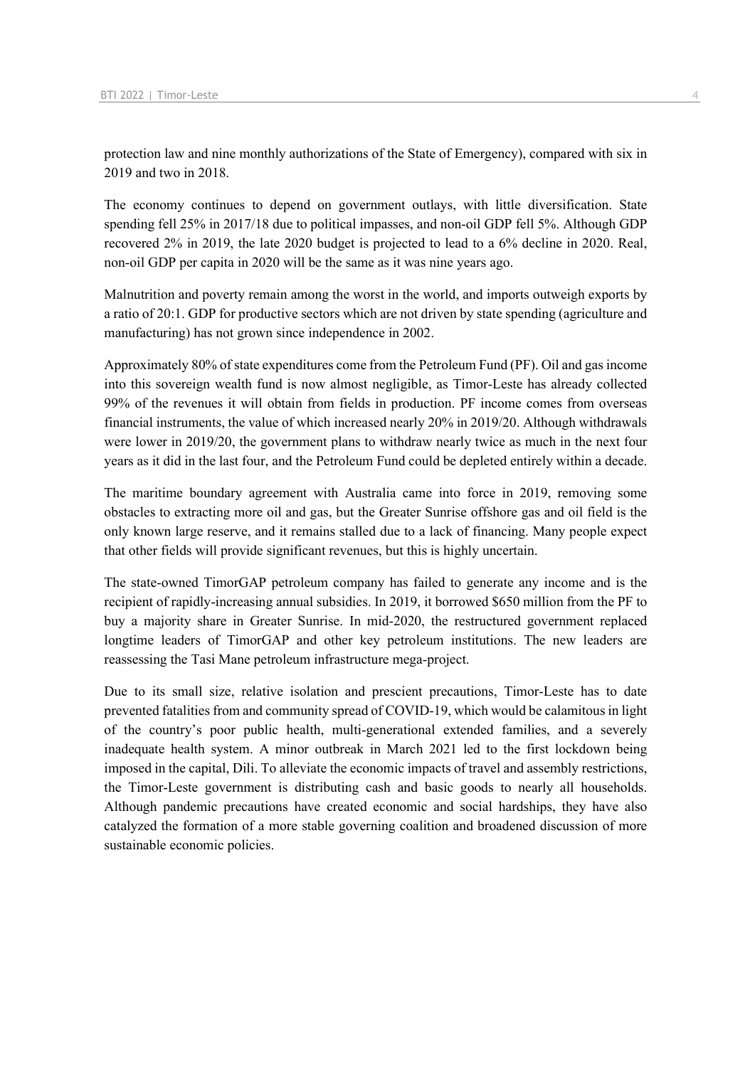protection law and nine monthly authorizations of the State of Emergency), compared with six in 2019 and two in 2018.

The economy continues to depend on government outlays, with little diversification. State spending fell 25% in 2017/18 due to political impasses, and non-oil GDP fell 5%. Although GDP recovered 2% in 2019, the late 2020 budget is projected to lead to a 6% decline in 2020. Real, non-oil GDP per capita in 2020 will be the same as it was nine years ago.

Malnutrition and poverty remain among the worst in the world, and imports outweigh exports by a ratio of 20:1. GDP for productive sectors which are not driven by state spending (agriculture and manufacturing) has not grown since independence in 2002.

Approximately 80% of state expenditures come from the Petroleum Fund (PF). Oil and gas income into this sovereign wealth fund is now almost negligible, as Timor-Leste has already collected 99% of the revenues it will obtain from fields in production. PF income comes from overseas financial instruments, the value of which increased nearly 20% in 2019/20. Although withdrawals were lower in 2019/20, the government plans to withdraw nearly twice as much in the next four years as it did in the last four, and the Petroleum Fund could be depleted entirely within a decade.

The maritime boundary agreement with Australia came into force in 2019, removing some obstacles to extracting more oil and gas, but the Greater Sunrise offshore gas and oil field is the only known large reserve, and it remains stalled due to a lack of financing. Many people expect that other fields will provide significant revenues, but this is highly uncertain.

The state-owned TimorGAP petroleum company has failed to generate any income and is the recipient of rapidly-increasing annual subsidies. In 2019, it borrowed \$650 million from the PF to buy a majority share in Greater Sunrise. In mid-2020, the restructured government replaced longtime leaders of TimorGAP and other key petroleum institutions. The new leaders are reassessing the Tasi Mane petroleum infrastructure mega-project.

Due to its small size, relative isolation and prescient precautions, Timor-Leste has to date prevented fatalities from and community spread of COVID-19, which would be calamitous in light of the country's poor public health, multi-generational extended families, and a severely inadequate health system. A minor outbreak in March 2021 led to the first lockdown being imposed in the capital, Dili. To alleviate the economic impacts of travel and assembly restrictions, the Timor-Leste government is distributing cash and basic goods to nearly all households. Although pandemic precautions have created economic and social hardships, they have also catalyzed the formation of a more stable governing coalition and broadened discussion of more sustainable economic policies.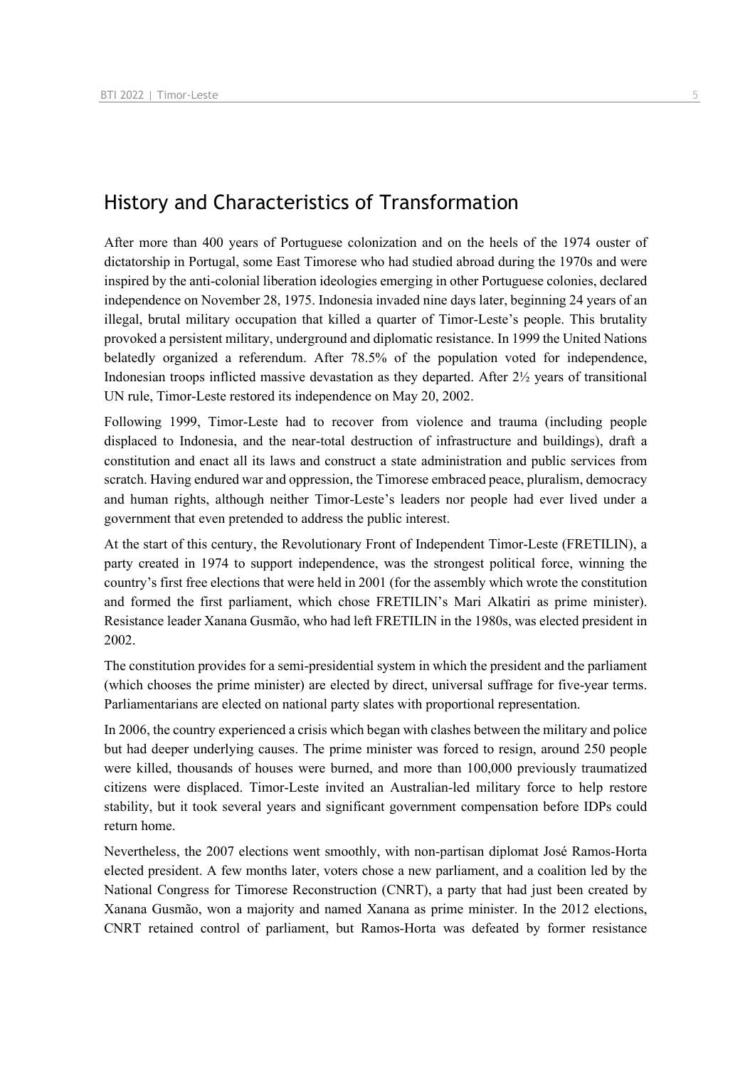## History and Characteristics of Transformation

After more than 400 years of Portuguese colonization and on the heels of the 1974 ouster of dictatorship in Portugal, some East Timorese who had studied abroad during the 1970s and were inspired by the anti-colonial liberation ideologies emerging in other Portuguese colonies, declared independence on November 28, 1975. Indonesia invaded nine days later, beginning 24 years of an illegal, brutal military occupation that killed a quarter of Timor-Leste's people. This brutality provoked a persistent military, underground and diplomatic resistance. In 1999 the United Nations belatedly organized a referendum. After 78.5% of the population voted for independence, Indonesian troops inflicted massive devastation as they departed. After 2½ years of transitional UN rule, Timor-Leste restored its independence on May 20, 2002.

Following 1999, Timor-Leste had to recover from violence and trauma (including people displaced to Indonesia, and the near-total destruction of infrastructure and buildings), draft a constitution and enact all its laws and construct a state administration and public services from scratch. Having endured war and oppression, the Timorese embraced peace, pluralism, democracy and human rights, although neither Timor-Leste's leaders nor people had ever lived under a government that even pretended to address the public interest.

At the start of this century, the Revolutionary Front of Independent Timor-Leste (FRETILIN), a party created in 1974 to support independence, was the strongest political force, winning the country's first free elections that were held in 2001 (for the assembly which wrote the constitution and formed the first parliament, which chose FRETILIN's Mari Alkatiri as prime minister). Resistance leader Xanana Gusmão, who had left FRETILIN in the 1980s, was elected president in 2002.

The constitution provides for a semi-presidential system in which the president and the parliament (which chooses the prime minister) are elected by direct, universal suffrage for five-year terms. Parliamentarians are elected on national party slates with proportional representation.

In 2006, the country experienced a crisis which began with clashes between the military and police but had deeper underlying causes. The prime minister was forced to resign, around 250 people were killed, thousands of houses were burned, and more than 100,000 previously traumatized citizens were displaced. Timor-Leste invited an Australian-led military force to help restore stability, but it took several years and significant government compensation before IDPs could return home.

Nevertheless, the 2007 elections went smoothly, with non-partisan diplomat José Ramos-Horta elected president. A few months later, voters chose a new parliament, and a coalition led by the National Congress for Timorese Reconstruction (CNRT), a party that had just been created by Xanana Gusmão, won a majority and named Xanana as prime minister. In the 2012 elections, CNRT retained control of parliament, but Ramos-Horta was defeated by former resistance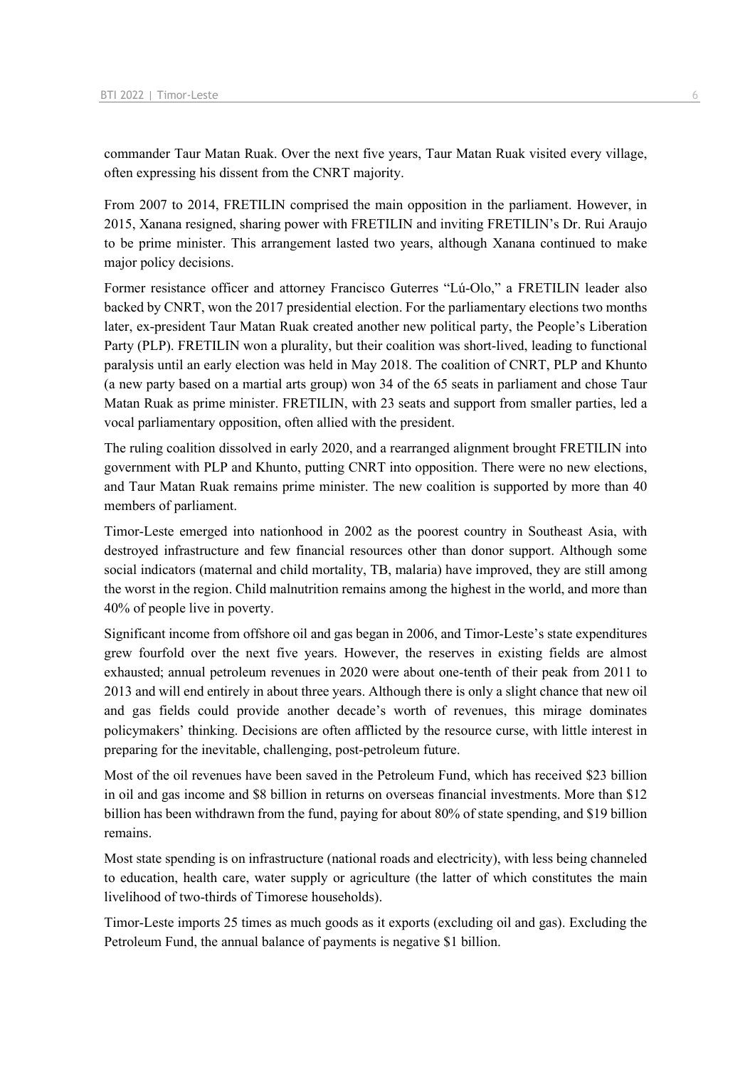commander Taur Matan Ruak. Over the next five years, Taur Matan Ruak visited every village, often expressing his dissent from the CNRT majority.

From 2007 to 2014, FRETILIN comprised the main opposition in the parliament. However, in 2015, Xanana resigned, sharing power with FRETILIN and inviting FRETILIN's Dr. Rui Araujo to be prime minister. This arrangement lasted two years, although Xanana continued to make major policy decisions.

Former resistance officer and attorney Francisco Guterres "Lú-Olo," a FRETILIN leader also backed by CNRT, won the 2017 presidential election. For the parliamentary elections two months later, ex-president Taur Matan Ruak created another new political party, the People's Liberation Party (PLP). FRETILIN won a plurality, but their coalition was short-lived, leading to functional paralysis until an early election was held in May 2018. The coalition of CNRT, PLP and Khunto (a new party based on a martial arts group) won 34 of the 65 seats in parliament and chose Taur Matan Ruak as prime minister. FRETILIN, with 23 seats and support from smaller parties, led a vocal parliamentary opposition, often allied with the president.

The ruling coalition dissolved in early 2020, and a rearranged alignment brought FRETILIN into government with PLP and Khunto, putting CNRT into opposition. There were no new elections, and Taur Matan Ruak remains prime minister. The new coalition is supported by more than 40 members of parliament.

Timor-Leste emerged into nationhood in 2002 as the poorest country in Southeast Asia, with destroyed infrastructure and few financial resources other than donor support. Although some social indicators (maternal and child mortality, TB, malaria) have improved, they are still among the worst in the region. Child malnutrition remains among the highest in the world, and more than 40% of people live in poverty.

Significant income from offshore oil and gas began in 2006, and Timor-Leste's state expenditures grew fourfold over the next five years. However, the reserves in existing fields are almost exhausted; annual petroleum revenues in 2020 were about one-tenth of their peak from 2011 to 2013 and will end entirely in about three years. Although there is only a slight chance that new oil and gas fields could provide another decade's worth of revenues, this mirage dominates policymakers' thinking. Decisions are often afflicted by the resource curse, with little interest in preparing for the inevitable, challenging, post-petroleum future.

Most of the oil revenues have been saved in the Petroleum Fund, which has received \$23 billion in oil and gas income and \$8 billion in returns on overseas financial investments. More than \$12 billion has been withdrawn from the fund, paying for about 80% of state spending, and \$19 billion remains.

Most state spending is on infrastructure (national roads and electricity), with less being channeled to education, health care, water supply or agriculture (the latter of which constitutes the main livelihood of two-thirds of Timorese households).

Timor-Leste imports 25 times as much goods as it exports (excluding oil and gas). Excluding the Petroleum Fund, the annual balance of payments is negative \$1 billion.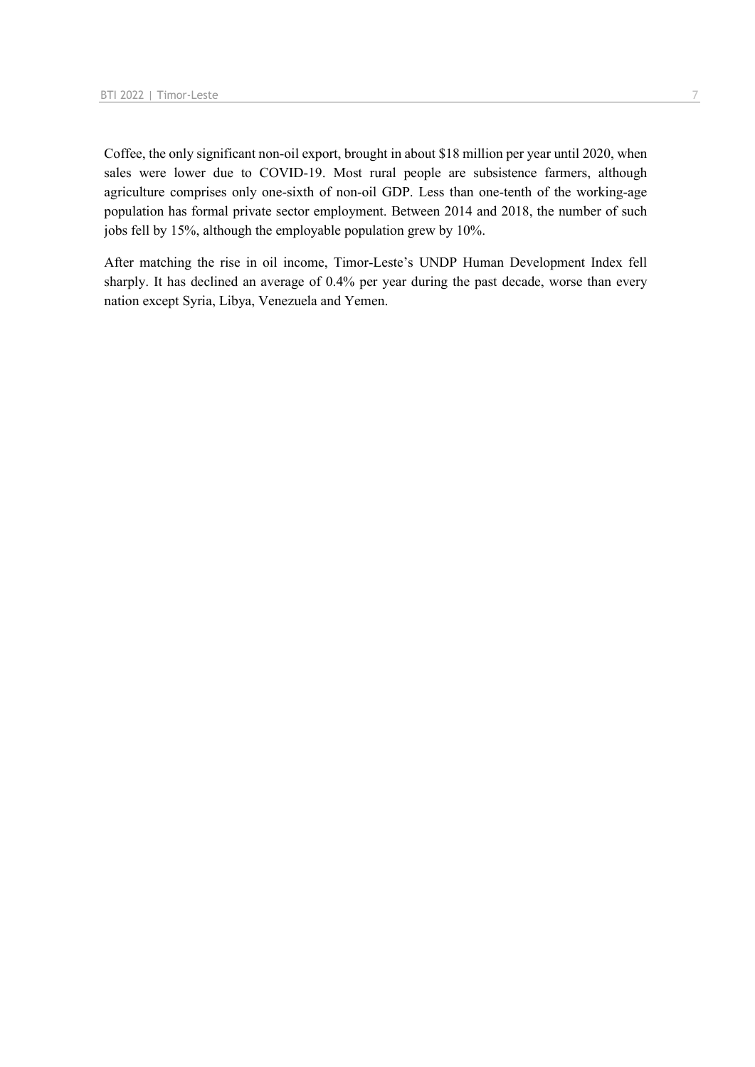Coffee, the only significant non-oil export, brought in about \$18 million per year until 2020, when sales were lower due to COVID-19. Most rural people are subsistence farmers, although agriculture comprises only one-sixth of non-oil GDP. Less than one-tenth of the working-age population has formal private sector employment. Between 2014 and 2018, the number of such jobs fell by 15%, although the employable population grew by 10%.

After matching the rise in oil income, Timor-Leste's UNDP Human Development Index fell sharply. It has declined an average of 0.4% per year during the past decade, worse than every nation except Syria, Libya, Venezuela and Yemen.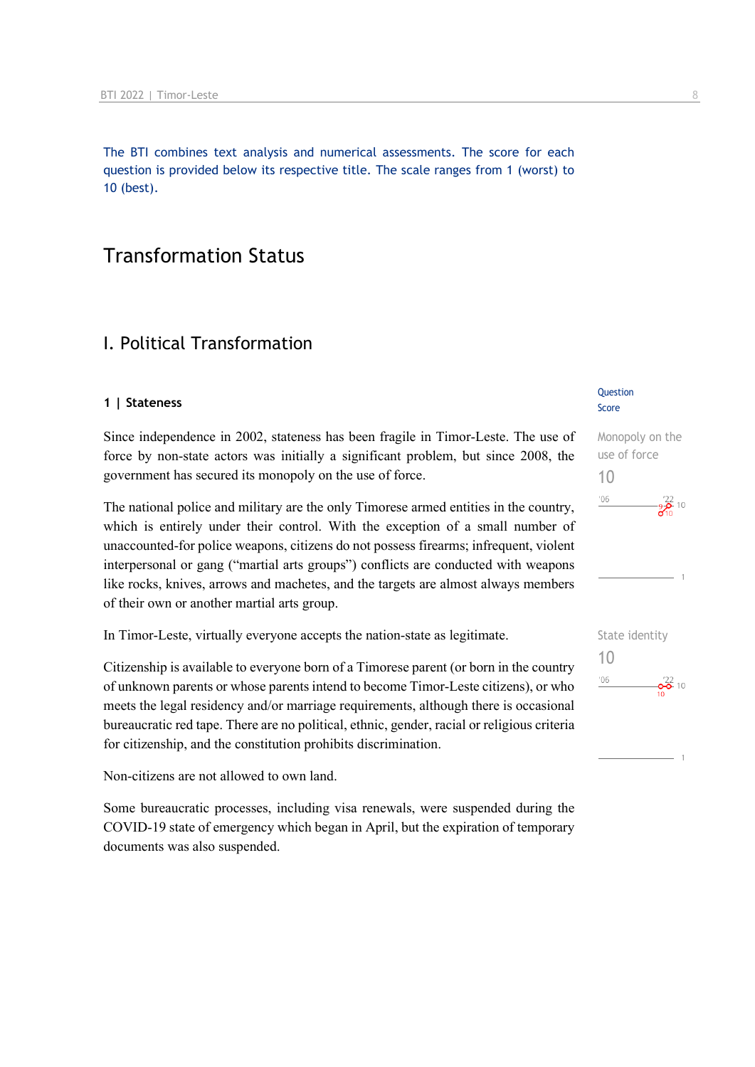The BTI combines text analysis and numerical assessments. The score for each question is provided below its respective title. The scale ranges from 1 (worst) to 10 (best).

# Transformation Status

## I. Political Transformation

#### **1 | Stateness**

Since independence in 2002, stateness has been fragile in Timor-Leste. The use of force by non-state actors was initially a significant problem, but since 2008, the government has secured its monopoly on the use of force.

The national police and military are the only Timorese armed entities in the country, which is entirely under their control. With the exception of a small number of unaccounted-for police weapons, citizens do not possess firearms; infrequent, violent interpersonal or gang ("martial arts groups") conflicts are conducted with weapons like rocks, knives, arrows and machetes, and the targets are almost always members of their own or another martial arts group.

In Timor-Leste, virtually everyone accepts the nation-state as legitimate.

Citizenship is available to everyone born of a Timorese parent (or born in the country of unknown parents or whose parents intend to become Timor-Leste citizens), or who meets the legal residency and/or marriage requirements, although there is occasional bureaucratic red tape. There are no political, ethnic, gender, racial or religious criteria for citizenship, and the constitution prohibits discrimination.

Non-citizens are not allowed to own land.

Some bureaucratic processes, including visa renewals, were suspended during the COVID-19 state of emergency which began in April, but the expiration of temporary documents was also suspended.

#### **Question** Score





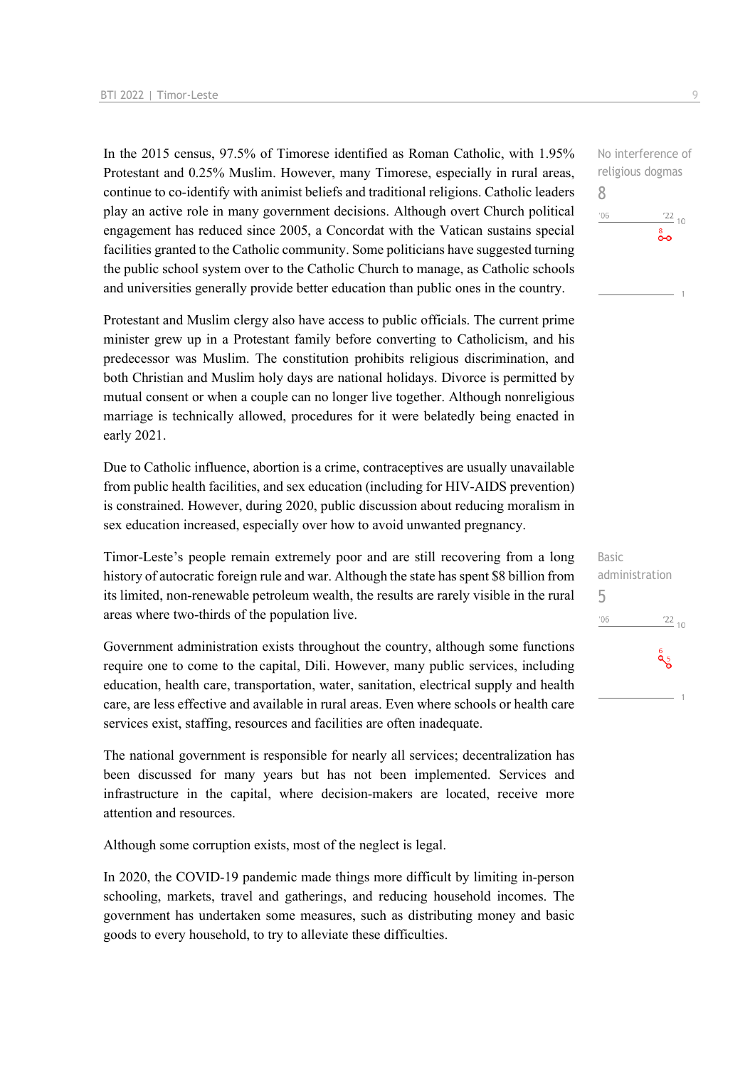In the 2015 census, 97.5% of Timorese identified as Roman Catholic, with 1.95% Protestant and 0.25% Muslim. However, many Timorese, especially in rural areas, continue to co-identify with animist beliefs and traditional religions. Catholic leaders play an active role in many government decisions. Although overt Church political engagement has reduced since 2005, a Concordat with the Vatican sustains special facilities granted to the Catholic community. Some politicians have suggested turning the public school system over to the Catholic Church to manage, as Catholic schools and universities generally provide better education than public ones in the country.

Protestant and Muslim clergy also have access to public officials. The current prime minister grew up in a Protestant family before converting to Catholicism, and his predecessor was Muslim. The constitution prohibits religious discrimination, and both Christian and Muslim holy days are national holidays. Divorce is permitted by mutual consent or when a couple can no longer live together. Although nonreligious marriage is technically allowed, procedures for it were belatedly being enacted in early 2021.

Due to Catholic influence, abortion is a crime, contraceptives are usually unavailable from public health facilities, and sex education (including for HIV-AIDS prevention) is constrained. However, during 2020, public discussion about reducing moralism in sex education increased, especially over how to avoid unwanted pregnancy.

Timor-Leste's people remain extremely poor and are still recovering from a long history of autocratic foreign rule and war. Although the state has spent \$8 billion from its limited, non-renewable petroleum wealth, the results are rarely visible in the rural areas where two-thirds of the population live.

Government administration exists throughout the country, although some functions require one to come to the capital, Dili. However, many public services, including education, health care, transportation, water, sanitation, electrical supply and health care, are less effective and available in rural areas. Even where schools or health care services exist, staffing, resources and facilities are often inadequate.

The national government is responsible for nearly all services; decentralization has been discussed for many years but has not been implemented. Services and infrastructure in the capital, where decision-makers are located, receive more attention and resources.

Although some corruption exists, most of the neglect is legal.

In 2020, the COVID-19 pandemic made things more difficult by limiting in-person schooling, markets, travel and gatherings, and reducing household incomes. The government has undertaken some measures, such as distributing money and basic goods to every household, to try to alleviate these difficulties.

No interference of religious dogmas 8  $^{\prime}06$  $\frac{22}{10}$ ം<br>ഹ

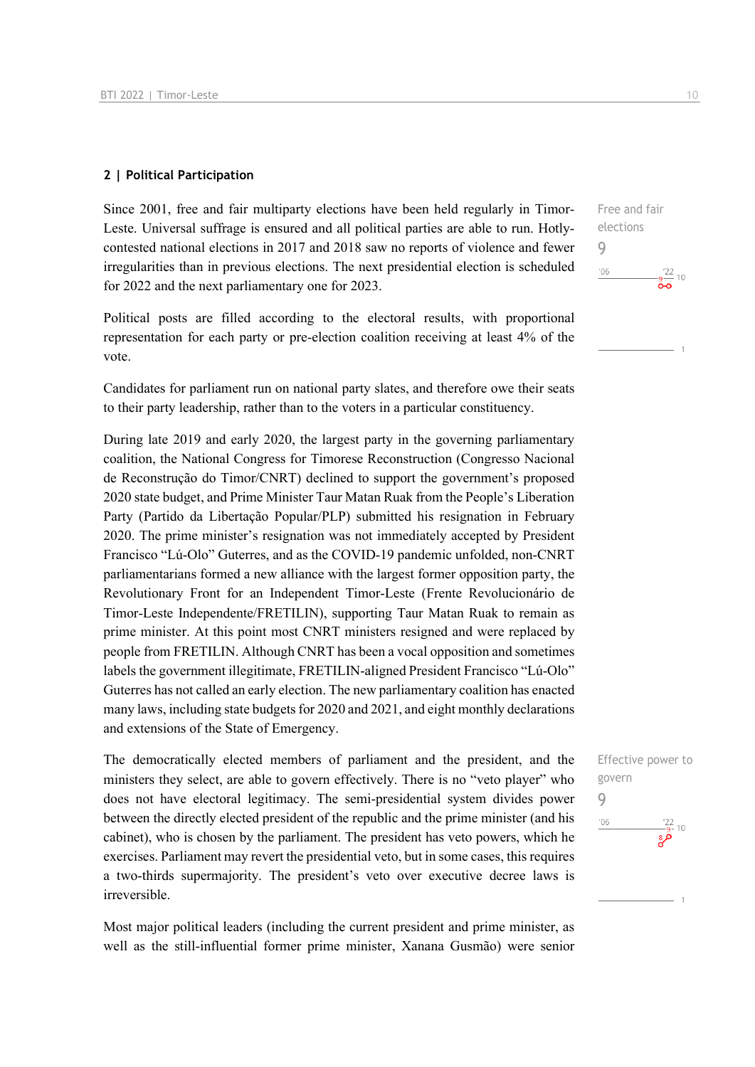#### **2 | Political Participation**

Since 2001, free and fair multiparty elections have been held regularly in Timor-Leste. Universal suffrage is ensured and all political parties are able to run. Hotlycontested national elections in 2017 and 2018 saw no reports of violence and fewer irregularities than in previous elections. The next presidential election is scheduled for 2022 and the next parliamentary one for 2023.

Political posts are filled according to the electoral results, with proportional representation for each party or pre-election coalition receiving at least 4% of the vote.

Candidates for parliament run on national party slates, and therefore owe their seats to their party leadership, rather than to the voters in a particular constituency.

During late 2019 and early 2020, the largest party in the governing parliamentary coalition, the National Congress for Timorese Reconstruction (Congresso Nacional de Reconstrução do Timor/CNRT) declined to support the government's proposed 2020 state budget, and Prime Minister Taur Matan Ruak from the People's Liberation Party (Partido da Libertação Popular/PLP) submitted his resignation in February 2020. The prime minister's resignation was not immediately accepted by President Francisco "Lú-Olo" Guterres, and as the COVID-19 pandemic unfolded, non-CNRT parliamentarians formed a new alliance with the largest former opposition party, the Revolutionary Front for an Independent Timor-Leste (Frente Revolucionário de Timor-Leste Independente/FRETILIN), supporting Taur Matan Ruak to remain as prime minister. At this point most CNRT ministers resigned and were replaced by people from FRETILIN. Although CNRT has been a vocal opposition and sometimes labels the government illegitimate, FRETILIN-aligned President Francisco "Lú-Olo" Guterres has not called an early election. The new parliamentary coalition has enacted many laws, including state budgets for 2020 and 2021, and eight monthly declarations and extensions of the State of Emergency.

The democratically elected members of parliament and the president, and the ministers they select, are able to govern effectively. There is no "veto player" who does not have electoral legitimacy. The semi-presidential system divides power between the directly elected president of the republic and the prime minister (and his cabinet), who is chosen by the parliament. The president has veto powers, which he exercises. Parliament may revert the presidential veto, but in some cases, this requires a two-thirds supermajority. The president's veto over executive decree laws is irreversible.

Most major political leaders (including the current president and prime minister, as well as the still-influential former prime minister, Xanana Gusmão) were senior Free and fair elections 9  $-06$  $-\frac{9}{2}$  10

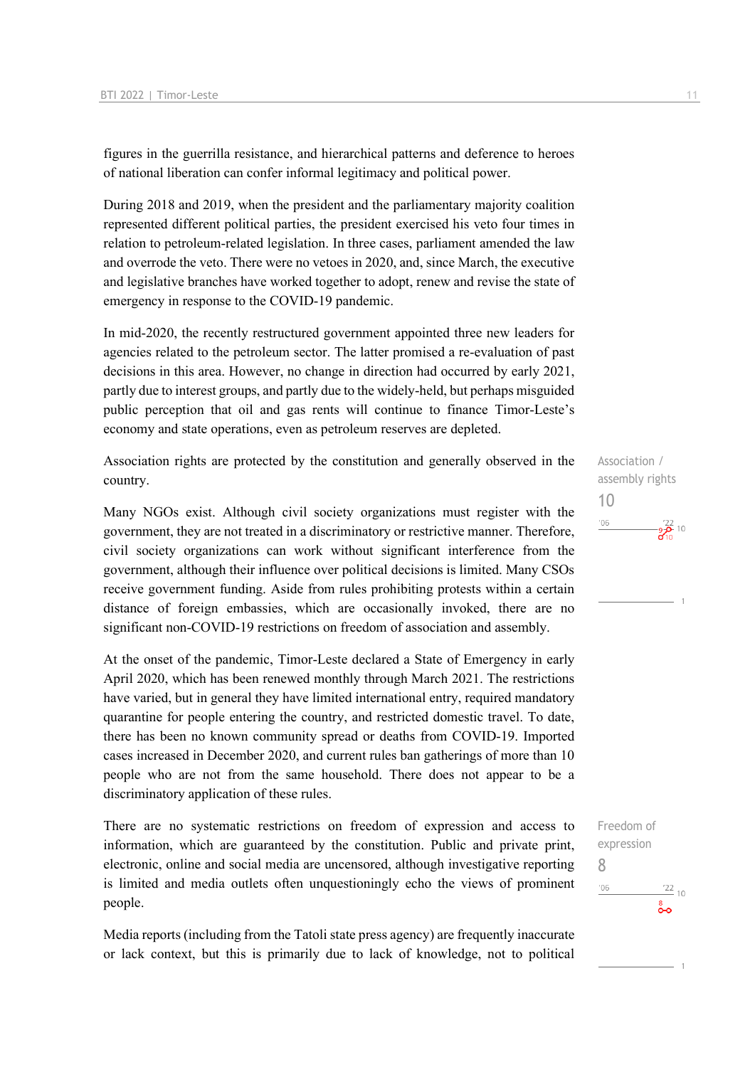figures in the guerrilla resistance, and hierarchical patterns and deference to heroes of national liberation can confer informal legitimacy and political power.

During 2018 and 2019, when the president and the parliamentary majority coalition represented different political parties, the president exercised his veto four times in relation to petroleum-related legislation. In three cases, parliament amended the law and overrode the veto. There were no vetoes in 2020, and, since March, the executive and legislative branches have worked together to adopt, renew and revise the state of emergency in response to the COVID-19 pandemic.

In mid-2020, the recently restructured government appointed three new leaders for agencies related to the petroleum sector. The latter promised a re-evaluation of past decisions in this area. However, no change in direction had occurred by early 2021, partly due to interest groups, and partly due to the widely-held, but perhaps misguided public perception that oil and gas rents will continue to finance Timor-Leste's economy and state operations, even as petroleum reserves are depleted.

Association rights are protected by the constitution and generally observed in the country.

Many NGOs exist. Although civil society organizations must register with the government, they are not treated in a discriminatory or restrictive manner. Therefore, civil society organizations can work without significant interference from the government, although their influence over political decisions is limited. Many CSOs receive government funding. Aside from rules prohibiting protests within a certain distance of foreign embassies, which are occasionally invoked, there are no significant non-COVID-19 restrictions on freedom of association and assembly.

At the onset of the pandemic, Timor-Leste declared a State of Emergency in early April 2020, which has been renewed monthly through March 2021. The restrictions have varied, but in general they have limited international entry, required mandatory quarantine for people entering the country, and restricted domestic travel. To date, there has been no known community spread or deaths from COVID-19. Imported cases increased in December 2020, and current rules ban gatherings of more than 10 people who are not from the same household. There does not appear to be a discriminatory application of these rules.

There are no systematic restrictions on freedom of expression and access to information, which are guaranteed by the constitution. Public and private print, electronic, online and social media are uncensored, although investigative reporting is limited and media outlets often unquestioningly echo the views of prominent people.

Media reports (including from the Tatoli state press agency) are frequently inaccurate or lack context, but this is primarily due to lack of knowledge, not to political



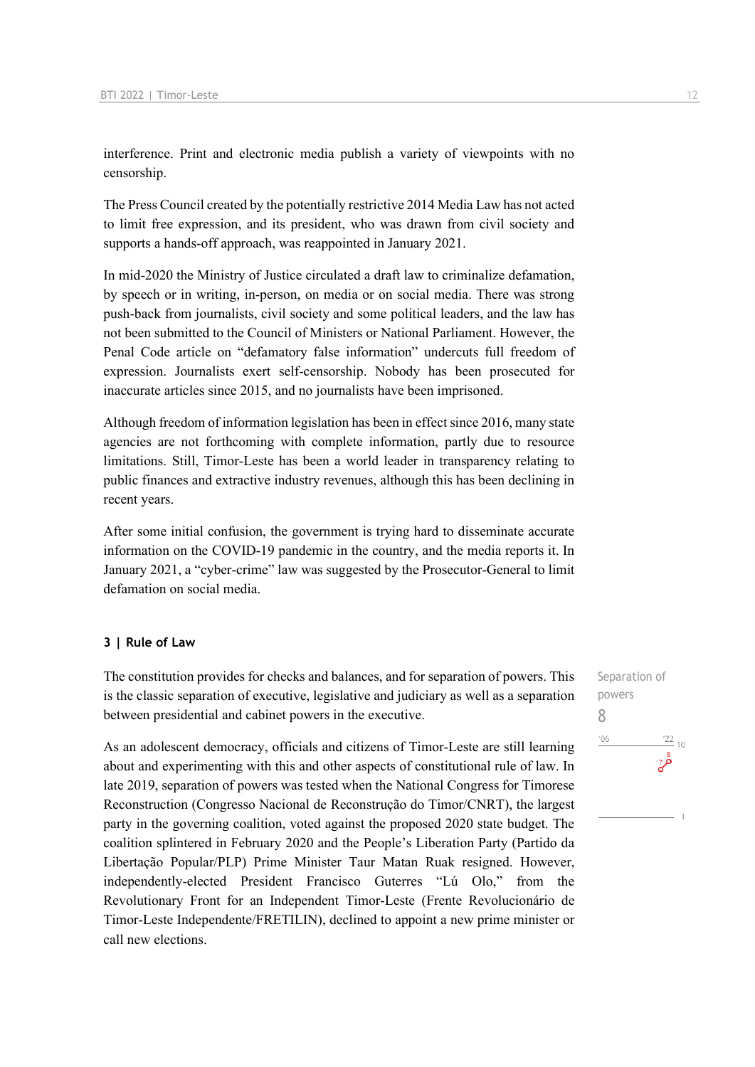interference. Print and electronic media publish a variety of viewpoints with no censorship.

The Press Council created by the potentially restrictive 2014 Media Law has not acted to limit free expression, and its president, who was drawn from civil society and supports a hands-off approach, was reappointed in January 2021.

In mid-2020 the Ministry of Justice circulated a draft law to criminalize defamation, by speech or in writing, in-person, on media or on social media. There was strong push-back from journalists, civil society and some political leaders, and the law has not been submitted to the Council of Ministers or National Parliament. However, the Penal Code article on "defamatory false information" undercuts full freedom of expression. Journalists exert self-censorship. Nobody has been prosecuted for inaccurate articles since 2015, and no journalists have been imprisoned.

Although freedom of information legislation has been in effect since 2016, many state agencies are not forthcoming with complete information, partly due to resource limitations. Still, Timor-Leste has been a world leader in transparency relating to public finances and extractive industry revenues, although this has been declining in recent years.

After some initial confusion, the government is trying hard to disseminate accurate information on the COVID-19 pandemic in the country, and the media reports it. In January 2021, a "cyber-crime" law was suggested by the Prosecutor-General to limit defamation on social media.

#### **3 | Rule of Law**

The constitution provides for checks and balances, and for separation of powers. This is the classic separation of executive, legislative and judiciary as well as a separation between presidential and cabinet powers in the executive.

As an adolescent democracy, officials and citizens of Timor-Leste are still learning about and experimenting with this and other aspects of constitutional rule of law. In late 2019, separation of powers was tested when the National Congress for Timorese Reconstruction (Congresso Nacional de Reconstrução do Timor/CNRT), the largest party in the governing coalition, voted against the proposed 2020 state budget. The coalition splintered in February 2020 and the People's Liberation Party (Partido da Libertação Popular/PLP) Prime Minister Taur Matan Ruak resigned. However, independently-elected President Francisco Guterres "Lú Olo," from the Revolutionary Front for an Independent Timor-Leste (Frente Revolucionário de Timor-Leste Independente/FRETILIN), declined to appoint a new prime minister or call new elections.

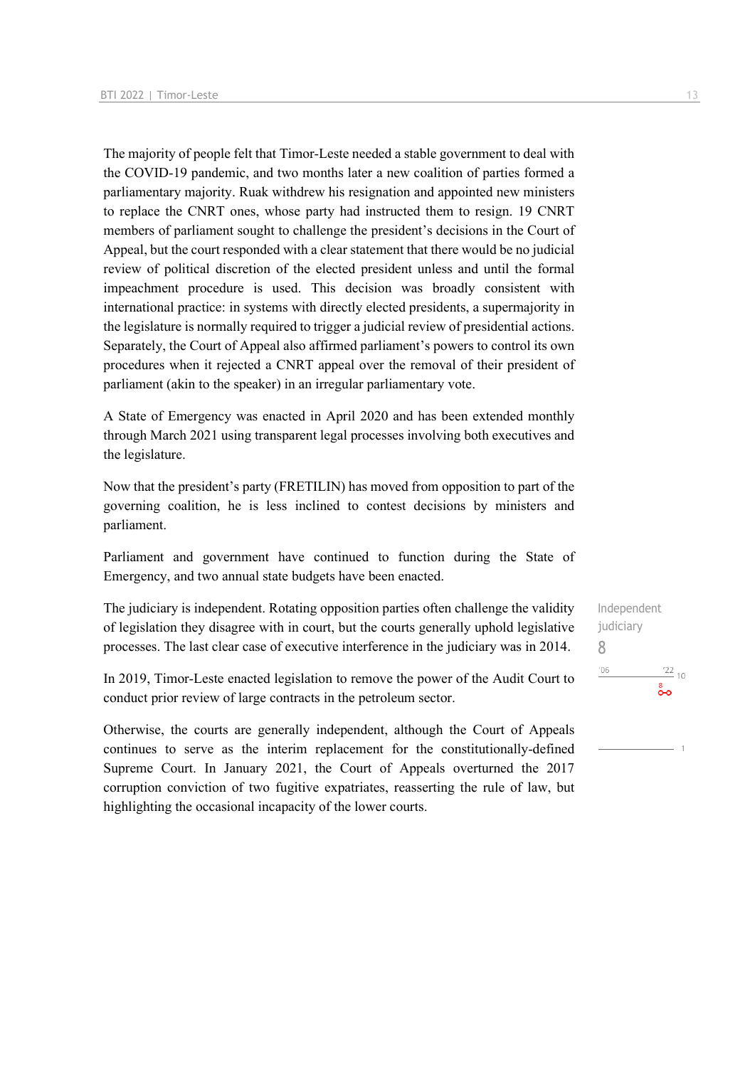The majority of people felt that Timor-Leste needed a stable government to deal with the COVID-19 pandemic, and two months later a new coalition of parties formed a parliamentary majority. Ruak withdrew his resignation and appointed new ministers to replace the CNRT ones, whose party had instructed them to resign. 19 CNRT members of parliament sought to challenge the president's decisions in the Court of Appeal, but the court responded with a clear statement that there would be no judicial review of political discretion of the elected president unless and until the formal impeachment procedure is used. This decision was broadly consistent with international practice: in systems with directly elected presidents, a supermajority in the legislature is normally required to trigger a judicial review of presidential actions. Separately, the Court of Appeal also affirmed parliament's powers to control its own procedures when it rejected a CNRT appeal over the removal of their president of parliament (akin to the speaker) in an irregular parliamentary vote.

A State of Emergency was enacted in April 2020 and has been extended monthly through March 2021 using transparent legal processes involving both executives and the legislature.

Now that the president's party (FRETILIN) has moved from opposition to part of the governing coalition, he is less inclined to contest decisions by ministers and parliament.

Parliament and government have continued to function during the State of Emergency, and two annual state budgets have been enacted.

The judiciary is independent. Rotating opposition parties often challenge the validity of legislation they disagree with in court, but the courts generally uphold legislative processes. The last clear case of executive interference in the judiciary was in 2014.

In 2019, Timor-Leste enacted legislation to remove the power of the Audit Court to conduct prior review of large contracts in the petroleum sector.

Otherwise, the courts are generally independent, although the Court of Appeals continues to serve as the interim replacement for the constitutionally-defined Supreme Court. In January 2021, the Court of Appeals overturned the 2017 corruption conviction of two fugitive expatriates, reasserting the rule of law, but highlighting the occasional incapacity of the lower courts.

Independent judiciary 8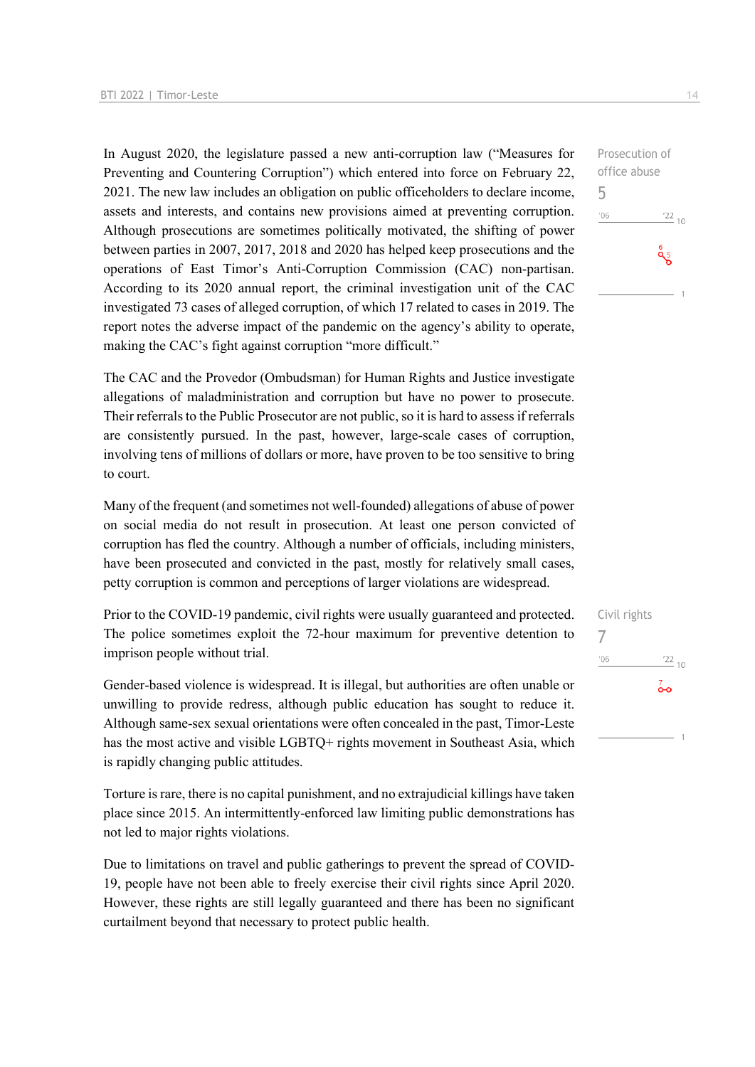In August 2020, the legislature passed a new anti-corruption law ("Measures for Preventing and Countering Corruption") which entered into force on February 22, 2021. The new law includes an obligation on public officeholders to declare income, assets and interests, and contains new provisions aimed at preventing corruption. Although prosecutions are sometimes politically motivated, the shifting of power between parties in 2007, 2017, 2018 and 2020 has helped keep prosecutions and the operations of East Timor's Anti-Corruption Commission (CAC) non-partisan. According to its 2020 annual report, the criminal investigation unit of the CAC investigated 73 cases of alleged corruption, of which 17 related to cases in 2019. The report notes the adverse impact of the pandemic on the agency's ability to operate, making the CAC's fight against corruption "more difficult."

The CAC and the Provedor (Ombudsman) for Human Rights and Justice investigate allegations of maladministration and corruption but have no power to prosecute. Their referrals to the Public Prosecutor are not public, so it is hard to assess if referrals are consistently pursued. In the past, however, large-scale cases of corruption, involving tens of millions of dollars or more, have proven to be too sensitive to bring to court.

Many of the frequent (and sometimes not well-founded) allegations of abuse of power on social media do not result in prosecution. At least one person convicted of corruption has fled the country. Although a number of officials, including ministers, have been prosecuted and convicted in the past, mostly for relatively small cases, petty corruption is common and perceptions of larger violations are widespread.

Prior to the COVID-19 pandemic, civil rights were usually guaranteed and protected. The police sometimes exploit the 72-hour maximum for preventive detention to imprison people without trial.

Gender-based violence is widespread. It is illegal, but authorities are often unable or unwilling to provide redress, although public education has sought to reduce it. Although same-sex sexual orientations were often concealed in the past, Timor-Leste has the most active and visible LGBTQ+ rights movement in Southeast Asia, which is rapidly changing public attitudes.

Torture is rare, there is no capital punishment, and no extrajudicial killings have taken place since 2015. An intermittently-enforced law limiting public demonstrations has not led to major rights violations.

Due to limitations on travel and public gatherings to prevent the spread of COVID-19, people have not been able to freely exercise their civil rights since April 2020. However, these rights are still legally guaranteed and there has been no significant curtailment beyond that necessary to protect public health.

Civil rights 7 $'06$  $\frac{22}{10}$  $\overline{0}$ 

Prosecution of office abuse 5  $^{\prime}06$  $\frac{22}{10}$ **g** 5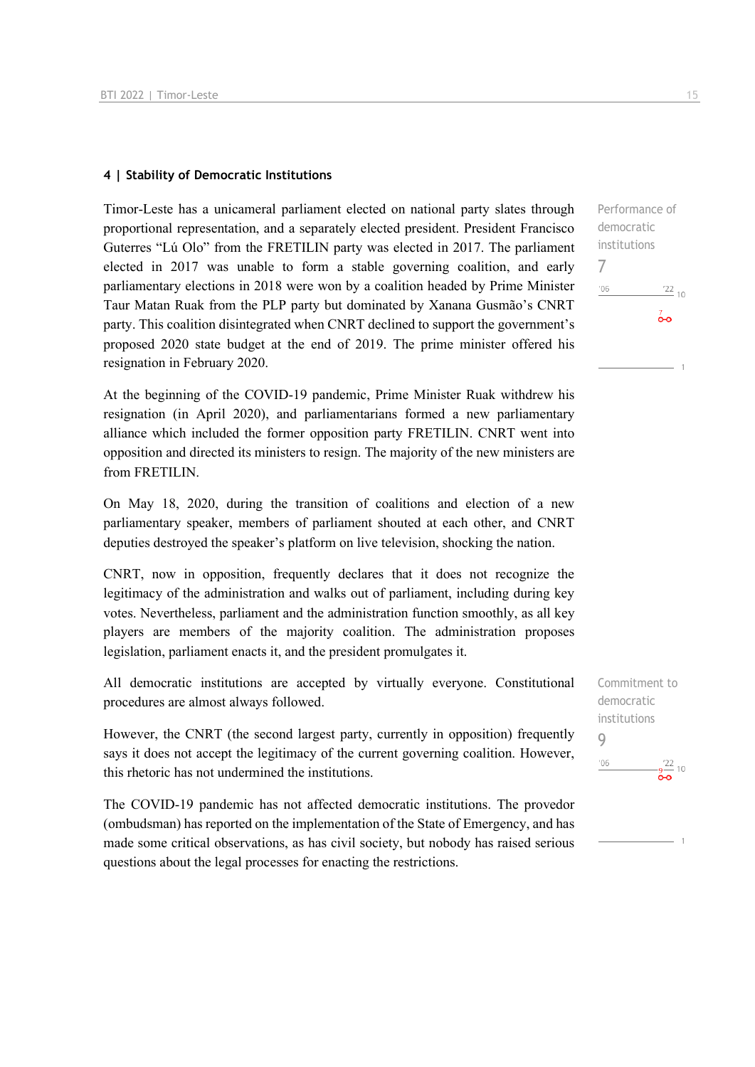#### **4 | Stability of Democratic Institutions**

Timor-Leste has a unicameral parliament elected on national party slates through proportional representation, and a separately elected president. President Francisco Guterres "Lú Olo" from the FRETILIN party was elected in 2017. The parliament elected in 2017 was unable to form a stable governing coalition, and early parliamentary elections in 2018 were won by a coalition headed by Prime Minister Taur Matan Ruak from the PLP party but dominated by Xanana Gusmão's CNRT party. This coalition disintegrated when CNRT declined to support the government's proposed 2020 state budget at the end of 2019. The prime minister offered his resignation in February 2020.

At the beginning of the COVID-19 pandemic, Prime Minister Ruak withdrew his resignation (in April 2020), and parliamentarians formed a new parliamentary alliance which included the former opposition party FRETILIN. CNRT went into opposition and directed its ministers to resign. The majority of the new ministers are from FRETILIN.

On May 18, 2020, during the transition of coalitions and election of a new parliamentary speaker, members of parliament shouted at each other, and CNRT deputies destroyed the speaker's platform on live television, shocking the nation.

CNRT, now in opposition, frequently declares that it does not recognize the legitimacy of the administration and walks out of parliament, including during key votes. Nevertheless, parliament and the administration function smoothly, as all key players are members of the majority coalition. The administration proposes legislation, parliament enacts it, and the president promulgates it.

All democratic institutions are accepted by virtually everyone. Constitutional procedures are almost always followed.

However, the CNRT (the second largest party, currently in opposition) frequently says it does not accept the legitimacy of the current governing coalition. However, this rhetoric has not undermined the institutions.

The COVID-19 pandemic has not affected democratic institutions. The provedor (ombudsman) has reported on the implementation of the State of Emergency, and has made some critical observations, as has civil society, but nobody has raised serious questions about the legal processes for enacting the restrictions.

Performance of democratic institutions 7  $106$  $\frac{22}{10}$  $\frac{7}{2}$ 

Commitment to democratic institutions 9 $'06$  $-\frac{9}{2}$  10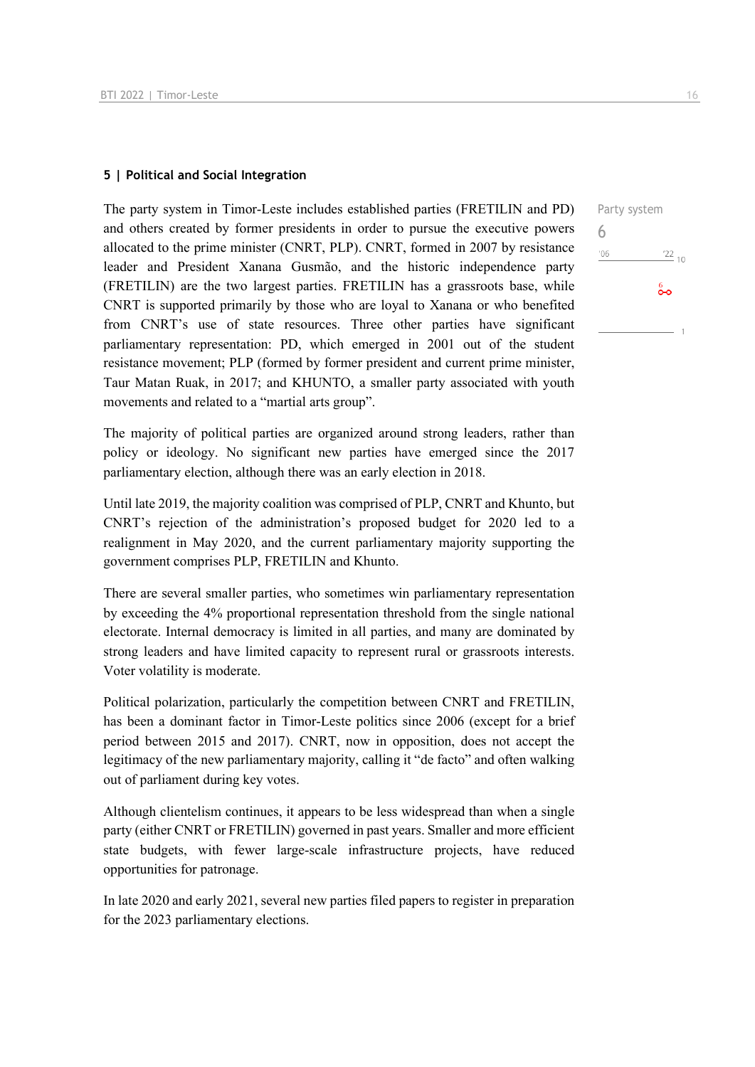#### **5 | Political and Social Integration**

The party system in Timor-Leste includes established parties (FRETILIN and PD) and others created by former presidents in order to pursue the executive powers allocated to the prime minister (CNRT, PLP). CNRT, formed in 2007 by resistance leader and President Xanana Gusmão, and the historic independence party (FRETILIN) are the two largest parties. FRETILIN has a grassroots base, while CNRT is supported primarily by those who are loyal to Xanana or who benefited from CNRT's use of state resources. Three other parties have significant parliamentary representation: PD, which emerged in 2001 out of the student resistance movement; PLP (formed by former president and current prime minister, Taur Matan Ruak, in 2017; and KHUNTO, a smaller party associated with youth movements and related to a "martial arts group".

The majority of political parties are organized around strong leaders, rather than policy or ideology. No significant new parties have emerged since the 2017 parliamentary election, although there was an early election in 2018.

Until late 2019, the majority coalition was comprised of PLP, CNRT and Khunto, but CNRT's rejection of the administration's proposed budget for 2020 led to a realignment in May 2020, and the current parliamentary majority supporting the government comprises PLP, FRETILIN and Khunto.

There are several smaller parties, who sometimes win parliamentary representation by exceeding the 4% proportional representation threshold from the single national electorate. Internal democracy is limited in all parties, and many are dominated by strong leaders and have limited capacity to represent rural or grassroots interests. Voter volatility is moderate.

Political polarization, particularly the competition between CNRT and FRETILIN, has been a dominant factor in Timor-Leste politics since 2006 (except for a brief period between 2015 and 2017). CNRT, now in opposition, does not accept the legitimacy of the new parliamentary majority, calling it "de facto" and often walking out of parliament during key votes.

Although clientelism continues, it appears to be less widespread than when a single party (either CNRT or FRETILIN) governed in past years. Smaller and more efficient state budgets, with fewer large-scale infrastructure projects, have reduced opportunities for patronage.

In late 2020 and early 2021, several new parties filed papers to register in preparation for the 2023 parliamentary elections.

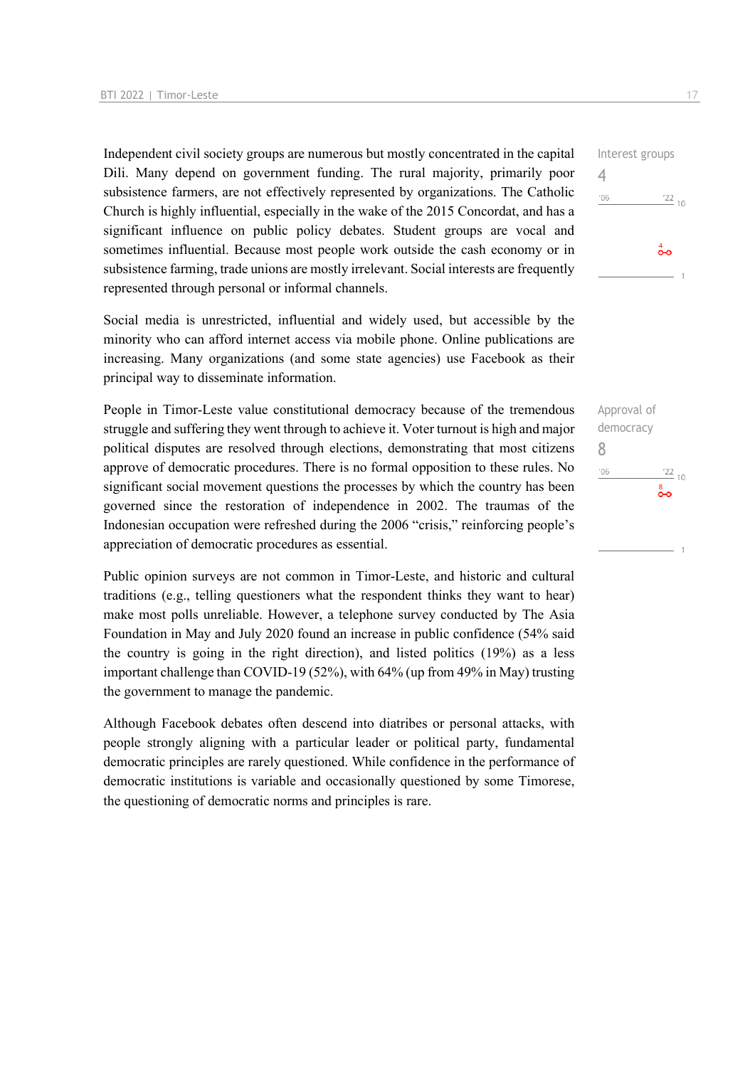Independent civil society groups are numerous but mostly concentrated in the capital Dili. Many depend on government funding. The rural majority, primarily poor subsistence farmers, are not effectively represented by organizations. The Catholic Church is highly influential, especially in the wake of the 2015 Concordat, and has a significant influence on public policy debates. Student groups are vocal and sometimes influential. Because most people work outside the cash economy or in subsistence farming, trade unions are mostly irrelevant. Social interests are frequently represented through personal or informal channels.

Social media is unrestricted, influential and widely used, but accessible by the minority who can afford internet access via mobile phone. Online publications are increasing. Many organizations (and some state agencies) use Facebook as their principal way to disseminate information.

People in Timor-Leste value constitutional democracy because of the tremendous struggle and suffering they went through to achieve it. Voter turnout is high and major political disputes are resolved through elections, demonstrating that most citizens approve of democratic procedures. There is no formal opposition to these rules. No significant social movement questions the processes by which the country has been governed since the restoration of independence in 2002. The traumas of the Indonesian occupation were refreshed during the 2006 "crisis," reinforcing people's appreciation of democratic procedures as essential.

Public opinion surveys are not common in Timor-Leste, and historic and cultural traditions (e.g., telling questioners what the respondent thinks they want to hear) make most polls unreliable. However, a telephone survey conducted by The Asia Foundation in May and July 2020 found an increase in public confidence (54% said the country is going in the right direction), and listed politics (19%) as a less important challenge than COVID-19 (52%), with 64% (up from 49% in May) trusting the government to manage the pandemic.

Although Facebook debates often descend into diatribes or personal attacks, with people strongly aligning with a particular leader or political party, fundamental democratic principles are rarely questioned. While confidence in the performance of democratic institutions is variable and occasionally questioned by some Timorese, the questioning of democratic norms and principles is rare.



Approval of democracy 8 $106$  $\frac{22}{10}$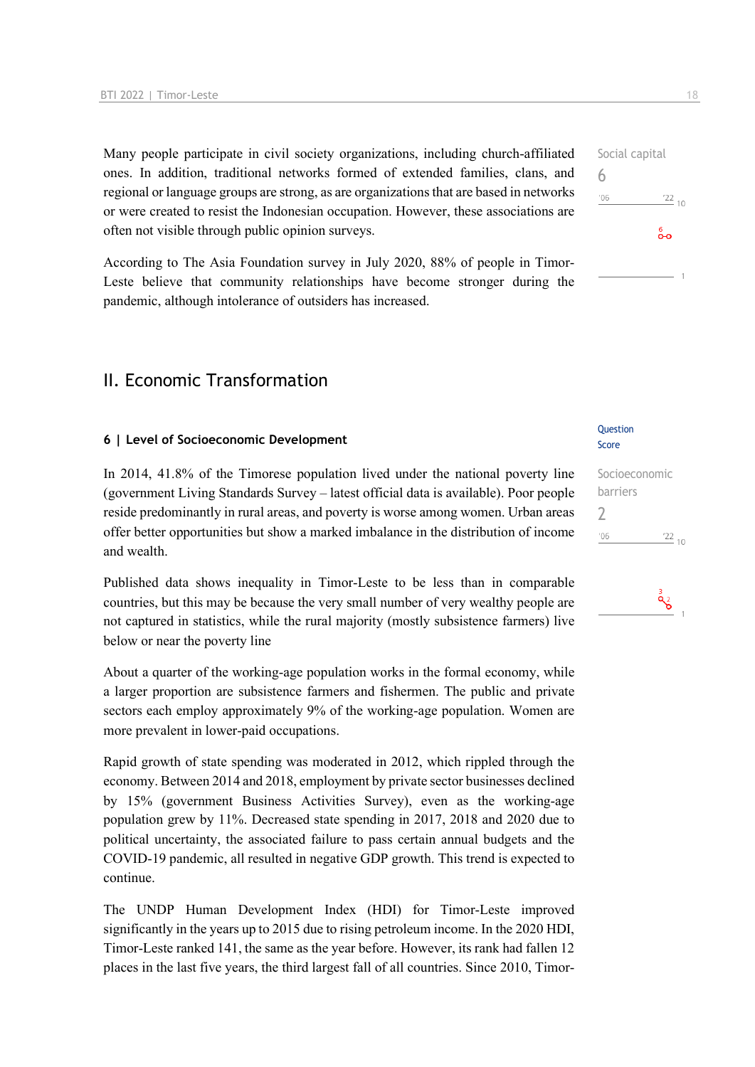Many people participate in civil society organizations, including church-affiliated ones. In addition, traditional networks formed of extended families, clans, and regional or language groups are strong, as are organizations that are based in networks or were created to resist the Indonesian occupation. However, these associations are often not visible through public opinion surveys.

According to The Asia Foundation survey in July 2020, 88% of people in Timor-Leste believe that community relationships have become stronger during the pandemic, although intolerance of outsiders has increased.

## II. Economic Transformation

#### **6 | Level of Socioeconomic Development**

In 2014, 41.8% of the Timorese population lived under the national poverty line (government Living Standards Survey – latest official data is available). Poor people reside predominantly in rural areas, and poverty is worse among women. Urban areas offer better opportunities but show a marked imbalance in the distribution of income and wealth.

Published data shows inequality in Timor-Leste to be less than in comparable countries, but this may be because the very small number of very wealthy people are not captured in statistics, while the rural majority (mostly subsistence farmers) live below or near the poverty line

About a quarter of the working-age population works in the formal economy, while a larger proportion are subsistence farmers and fishermen. The public and private sectors each employ approximately 9% of the working-age population. Women are more prevalent in lower-paid occupations.

Rapid growth of state spending was moderated in 2012, which rippled through the economy. Between 2014 and 2018, employment by private sector businesses declined by 15% (government Business Activities Survey), even as the working-age population grew by 11%. Decreased state spending in 2017, 2018 and 2020 due to political uncertainty, the associated failure to pass certain annual budgets and the COVID-19 pandemic, all resulted in negative GDP growth. This trend is expected to continue.

The UNDP Human Development Index (HDI) for Timor-Leste improved significantly in the years up to 2015 due to rising petroleum income. In the 2020 HDI, Timor-Leste ranked 141, the same as the year before. However, its rank had fallen 12 places in the last five years, the third largest fall of all countries. Since 2010, Timor-

#### Question Score

#### Socioeconomic barriers  $\overline{\phantom{0}}$  $^{\prime}06$  $\frac{22}{10}$

$$
\overset{3}{\mathbf{Q}}_{\mathbf{C}}
$$

Social capital 6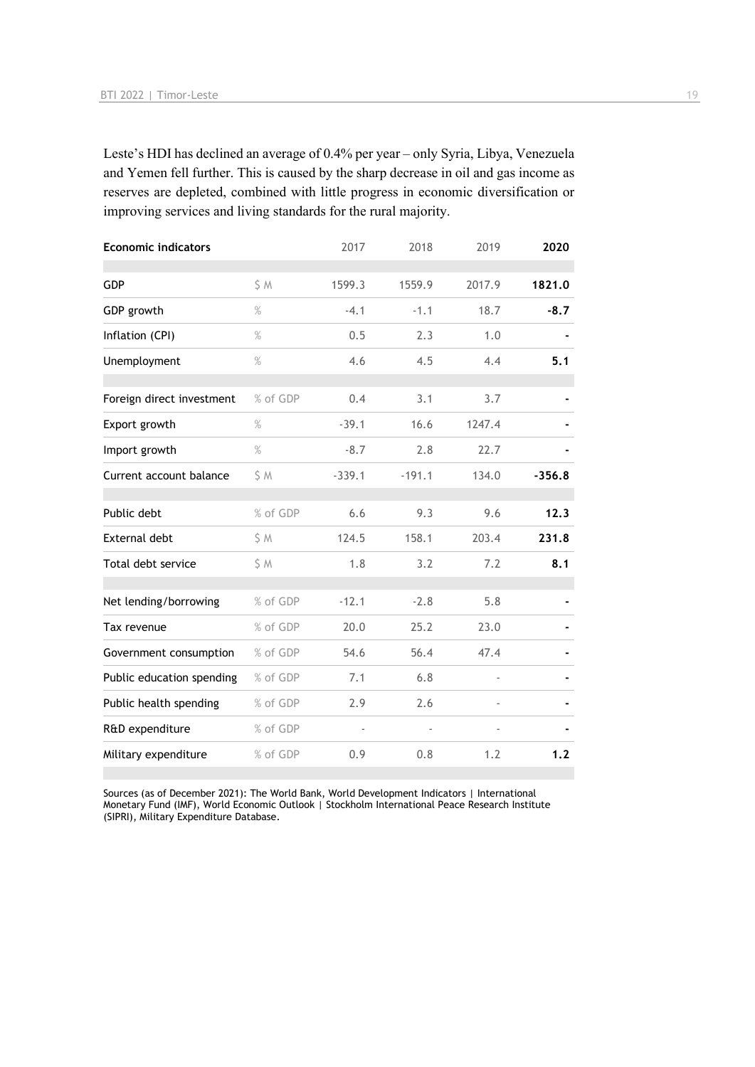Leste's HDI has declined an average of 0.4% per year – only Syria, Libya, Venezuela and Yemen fell further. This is caused by the sharp decrease in oil and gas income as reserves are depleted, combined with little progress in economic diversification or improving services and living standards for the rural majority.

| <b>Economic indicators</b> |          | 2017     | 2018     | 2019   | 2020     |
|----------------------------|----------|----------|----------|--------|----------|
| <b>GDP</b>                 | \$ M     | 1599.3   | 1559.9   | 2017.9 | 1821.0   |
| GDP growth                 | $\%$     | $-4.1$   | $-1.1$   | 18.7   | $-8.7$   |
| Inflation (CPI)            | $\%$     | 0.5      | 2.3      | 1.0    |          |
| Unemployment               | $\%$     | 4.6      | 4.5      | 4.4    | 5.1      |
| Foreign direct investment  | % of GDP | 0.4      | 3.1      | 3.7    |          |
| Export growth              | $\%$     | $-39.1$  | 16.6     | 1247.4 |          |
| Import growth              | $\%$     | $-8.7$   | 2.8      | 22.7   |          |
| Current account balance    | \$ M     | $-339.1$ | $-191.1$ | 134.0  | $-356.8$ |
| Public debt                | % of GDP | 6.6      | 9.3      | 9.6    | 12.3     |
| External debt              | \$ M     | 124.5    | 158.1    | 203.4  | 231.8    |
| Total debt service         | \$M      | 1.8      | 3.2      | 7.2    | 8.1      |
| Net lending/borrowing      | % of GDP | $-12.1$  | $-2.8$   | 5.8    |          |
| Tax revenue                | % of GDP | 20.0     | 25.2     | 23.0   |          |
| Government consumption     | % of GDP | 54.6     | 56.4     | 47.4   |          |
| Public education spending  | % of GDP | 7.1      | 6.8      |        |          |
| Public health spending     | % of GDP | 2.9      | 2.6      |        |          |
| R&D expenditure            | % of GDP |          |          |        |          |
| Military expenditure       | % of GDP | 0.9      | 0.8      | 1.2    | 1.2      |
|                            |          |          |          |        |          |

Sources (as of December 2021): The World Bank, World Development Indicators | International Monetary Fund (IMF), World Economic Outlook | Stockholm International Peace Research Institute (SIPRI), Military Expenditure Database.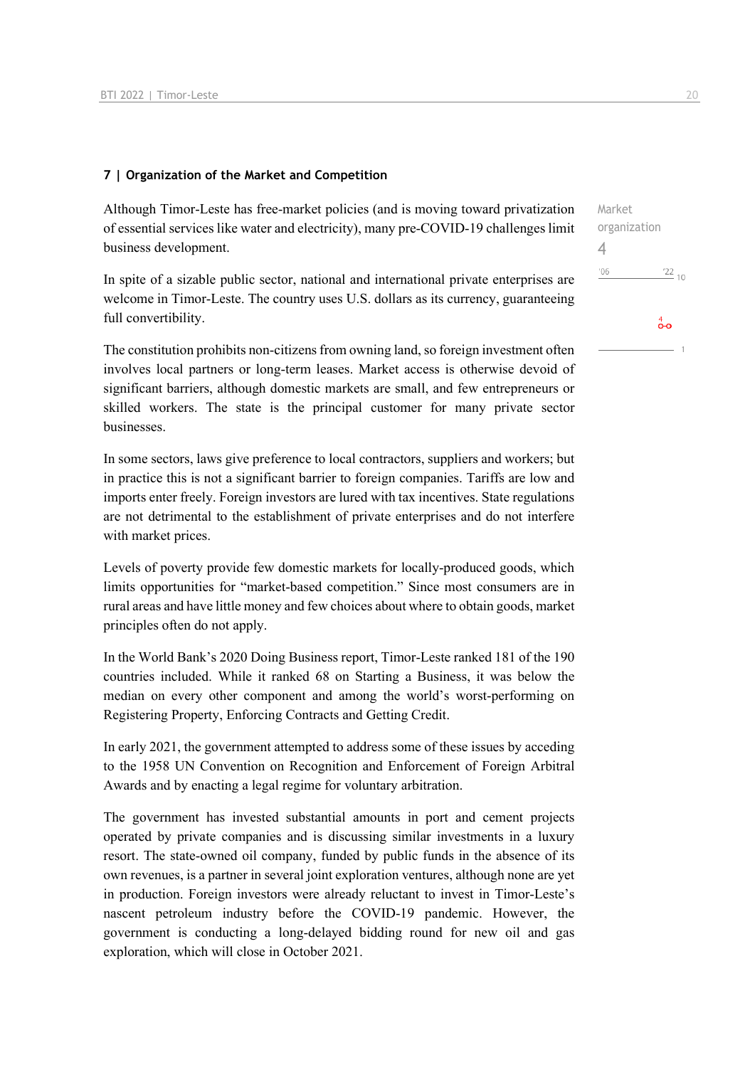#### **7 | Organization of the Market and Competition**

Although Timor-Leste has free-market policies (and is moving toward privatization of essential services like water and electricity), many pre-COVID-19 challenges limit business development.

In spite of a sizable public sector, national and international private enterprises are welcome in Timor-Leste. The country uses U.S. dollars as its currency, guaranteeing full convertibility.

The constitution prohibits non-citizens from owning land, so foreign investment often involves local partners or long-term leases. Market access is otherwise devoid of significant barriers, although domestic markets are small, and few entrepreneurs or skilled workers. The state is the principal customer for many private sector businesses.

In some sectors, laws give preference to local contractors, suppliers and workers; but in practice this is not a significant barrier to foreign companies. Tariffs are low and imports enter freely. Foreign investors are lured with tax incentives. State regulations are not detrimental to the establishment of private enterprises and do not interfere with market prices.

Levels of poverty provide few domestic markets for locally-produced goods, which limits opportunities for "market-based competition." Since most consumers are in rural areas and have little money and few choices about where to obtain goods, market principles often do not apply.

In the World Bank's 2020 Doing Business report, Timor-Leste ranked 181 of the 190 countries included. While it ranked 68 on Starting a Business, it was below the median on every other component and among the world's worst-performing on Registering Property, Enforcing Contracts and Getting Credit.

In early 2021, the government attempted to address some of these issues by acceding to the 1958 UN Convention on Recognition and Enforcement of Foreign Arbitral Awards and by enacting a legal regime for voluntary arbitration.

The government has invested substantial amounts in port and cement projects operated by private companies and is discussing similar investments in a luxury resort. The state-owned oil company, funded by public funds in the absence of its own revenues, is a partner in several joint exploration ventures, although none are yet in production. Foreign investors were already reluctant to invest in Timor-Leste's nascent petroleum industry before the COVID-19 pandemic. However, the government is conducting a long-delayed bidding round for new oil and gas exploration, which will close in October 2021.

Market organization 4 $\frac{22}{10}$  $-06$  $\overset{4}{\bullet}$ o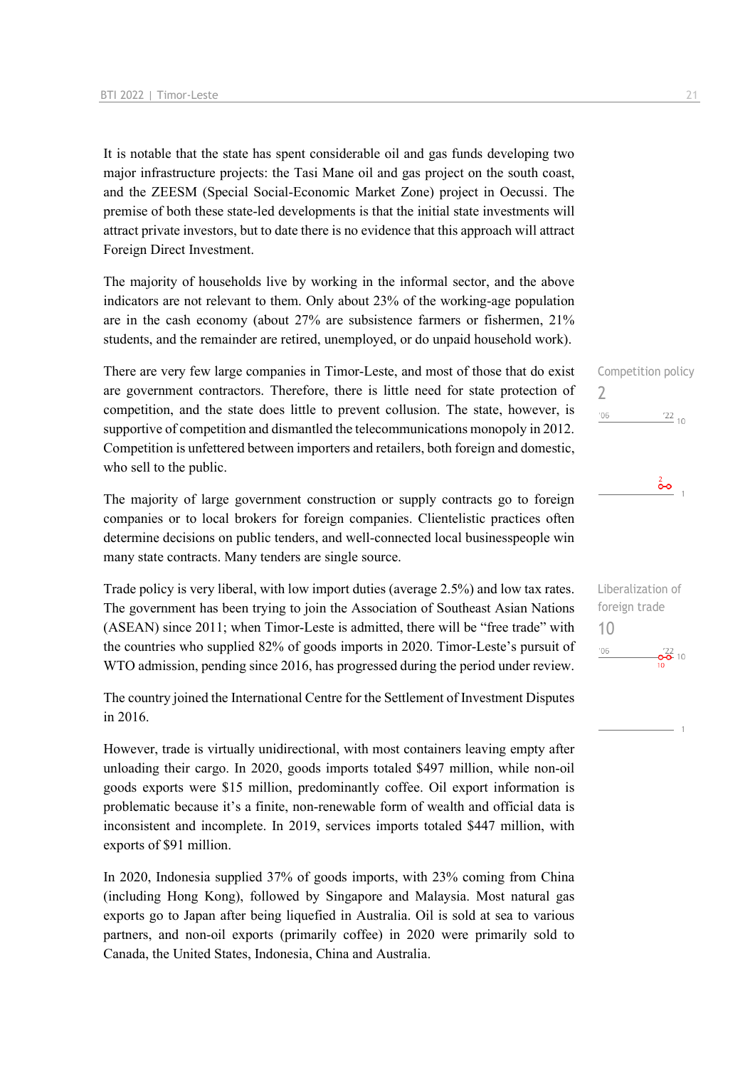It is notable that the state has spent considerable oil and gas funds developing two major infrastructure projects: the Tasi Mane oil and gas project on the south coast, and the ZEESM (Special Social-Economic Market Zone) project in Oecussi. The premise of both these state-led developments is that the initial state investments will attract private investors, but to date there is no evidence that this approach will attract Foreign Direct Investment.

The majority of households live by working in the informal sector, and the above indicators are not relevant to them. Only about 23% of the working-age population are in the cash economy (about 27% are subsistence farmers or fishermen, 21% students, and the remainder are retired, unemployed, or do unpaid household work).

There are very few large companies in Timor-Leste, and most of those that do exist are government contractors. Therefore, there is little need for state protection of competition, and the state does little to prevent collusion. The state, however, is supportive of competition and dismantled the telecommunications monopoly in 2012. Competition is unfettered between importers and retailers, both foreign and domestic, who sell to the public.

The majority of large government construction or supply contracts go to foreign companies or to local brokers for foreign companies. Clientelistic practices often determine decisions on public tenders, and well-connected local businesspeople win many state contracts. Many tenders are single source.

Trade policy is very liberal, with low import duties (average 2.5%) and low tax rates. The government has been trying to join the Association of Southeast Asian Nations (ASEAN) since 2011; when Timor-Leste is admitted, there will be "free trade" with the countries who supplied 82% of goods imports in 2020. Timor-Leste's pursuit of WTO admission, pending since 2016, has progressed during the period under review.

The country joined the International Centre for the Settlement of Investment Disputes in 2016.

However, trade is virtually unidirectional, with most containers leaving empty after unloading their cargo. In 2020, goods imports totaled \$497 million, while non-oil goods exports were \$15 million, predominantly coffee. Oil export information is problematic because it's a finite, non-renewable form of wealth and official data is inconsistent and incomplete. In 2019, services imports totaled \$447 million, with exports of \$91 million.

In 2020, Indonesia supplied 37% of goods imports, with 23% coming from China (including Hong Kong), followed by Singapore and Malaysia. Most natural gas exports go to Japan after being liquefied in Australia. Oil is sold at sea to various partners, and non-oil exports (primarily coffee) in 2020 were primarily sold to Canada, the United States, Indonesia, China and Australia.

Competition policy 2  $'06$  $\frac{22}{10}$ 



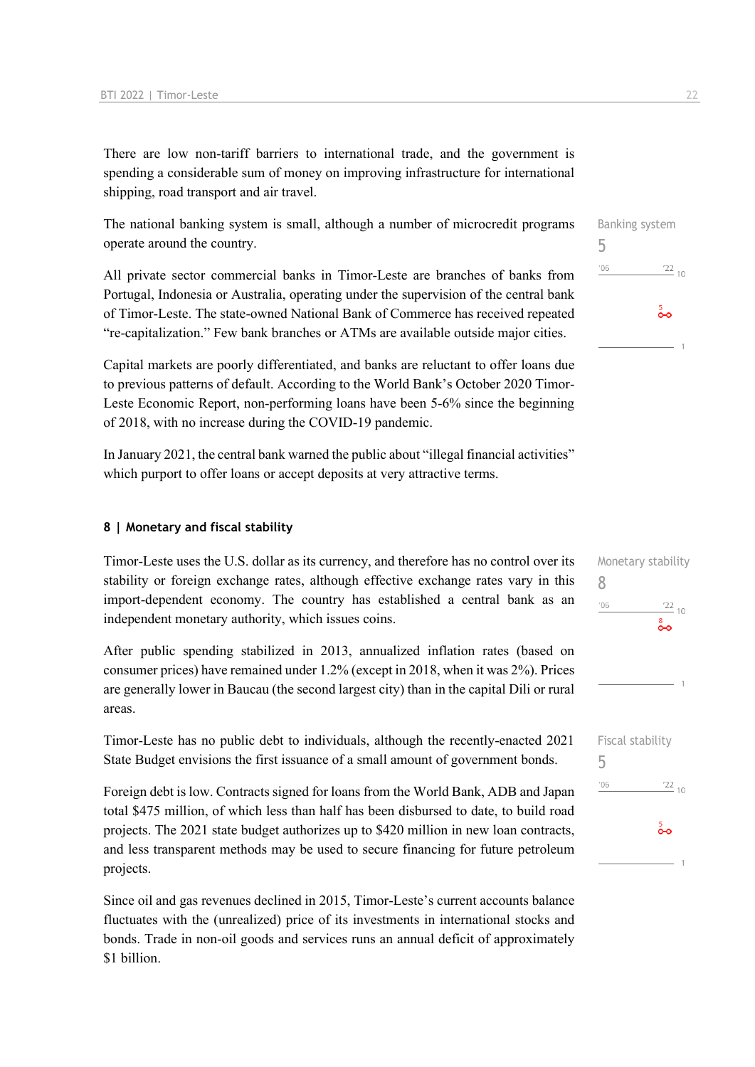There are low non-tariff barriers to international trade, and the government is spending a considerable sum of money on improving infrastructure for international shipping, road transport and air travel.

The national banking system is small, although a number of microcredit programs operate around the country.

All private sector commercial banks in Timor-Leste are branches of banks from Portugal, Indonesia or Australia, operating under the supervision of the central bank of Timor-Leste. The state-owned National Bank of Commerce has received repeated "re-capitalization." Few bank branches or ATMs are available outside major cities.

Capital markets are poorly differentiated, and banks are reluctant to offer loans due to previous patterns of default. According to the World Bank's October 2020 Timor-Leste Economic Report, non-performing loans have been 5-6% since the beginning of 2018, with no increase during the COVID-19 pandemic.

In January 2021, the central bank warned the public about "illegal financial activities" which purport to offer loans or accept deposits at very attractive terms.

#### **8 | Monetary and fiscal stability**

Timor-Leste uses the U.S. dollar as its currency, and therefore has no control over its stability or foreign exchange rates, although effective exchange rates vary in this import-dependent economy. The country has established a central bank as an independent monetary authority, which issues coins.

After public spending stabilized in 2013, annualized inflation rates (based on consumer prices) have remained under 1.2% (except in 2018, when it was 2%). Prices are generally lower in Baucau (the second largest city) than in the capital Dili or rural areas.

Timor-Leste has no public debt to individuals, although the recently-enacted 2021 State Budget envisions the first issuance of a small amount of government bonds.

Foreign debt is low. Contracts signed for loans from the World Bank, ADB and Japan total \$475 million, of which less than half has been disbursed to date, to build road projects. The 2021 state budget authorizes up to \$420 million in new loan contracts, and less transparent methods may be used to secure financing for future petroleum projects.

Since oil and gas revenues declined in 2015, Timor-Leste's current accounts balance fluctuates with the (unrealized) price of its investments in international stocks and bonds. Trade in non-oil goods and services runs an annual deficit of approximately \$1 billion.



| Monetary stability |                 |
|--------------------|-----------------|
| 8                  |                 |
| '06                | $\frac{22}{10}$ |
|                    | း<br>၀၀         |
|                    |                 |
|                    |                 |
|                    |                 |
|                    | 1               |
|                    |                 |
|                    |                 |
| Fiscal stability   |                 |
| 5                  |                 |
| '06                | $\frac{22}{10}$ |
|                    |                 |
|                    |                 |
|                    | န္              |
|                    |                 |
|                    | 1               |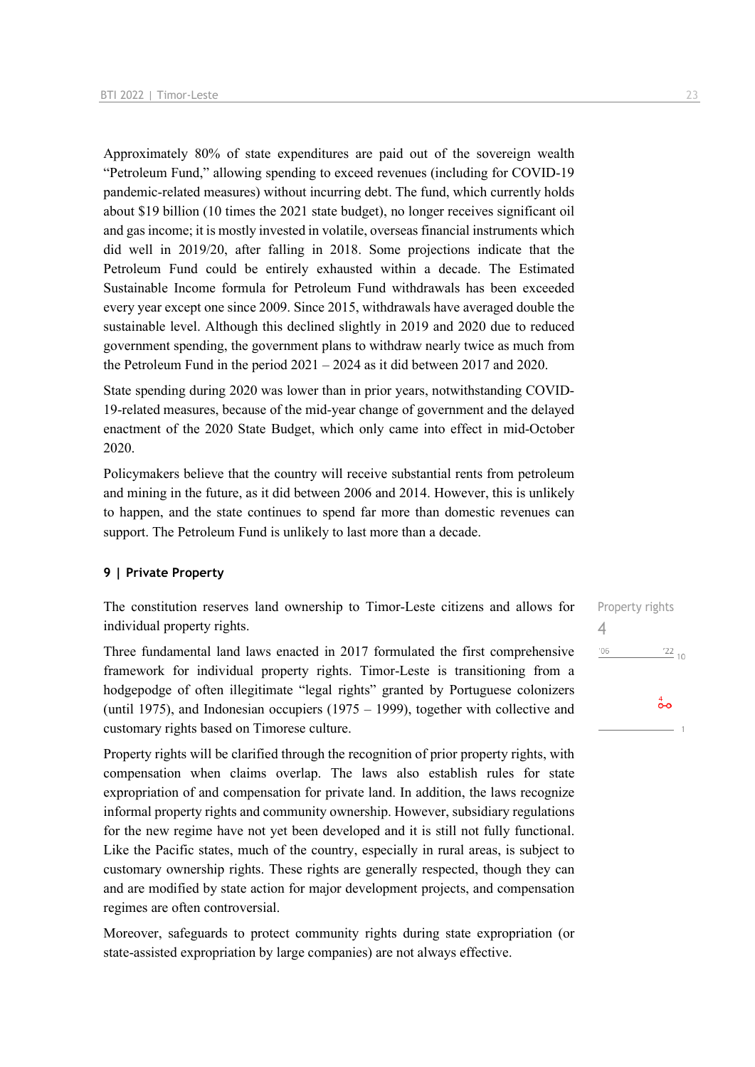Approximately 80% of state expenditures are paid out of the sovereign wealth "Petroleum Fund," allowing spending to exceed revenues (including for COVID-19 pandemic-related measures) without incurring debt. The fund, which currently holds about \$19 billion (10 times the 2021 state budget), no longer receives significant oil and gas income; it is mostly invested in volatile, overseas financial instruments which did well in 2019/20, after falling in 2018. Some projections indicate that the Petroleum Fund could be entirely exhausted within a decade. The Estimated Sustainable Income formula for Petroleum Fund withdrawals has been exceeded every year except one since 2009. Since 2015, withdrawals have averaged double the sustainable level. Although this declined slightly in 2019 and 2020 due to reduced government spending, the government plans to withdraw nearly twice as much from the Petroleum Fund in the period 2021 – 2024 as it did between 2017 and 2020.

State spending during 2020 was lower than in prior years, notwithstanding COVID-19-related measures, because of the mid-year change of government and the delayed enactment of the 2020 State Budget, which only came into effect in mid-October 2020.

Policymakers believe that the country will receive substantial rents from petroleum and mining in the future, as it did between 2006 and 2014. However, this is unlikely to happen, and the state continues to spend far more than domestic revenues can support. The Petroleum Fund is unlikely to last more than a decade.

#### **9 | Private Property**

The constitution reserves land ownership to Timor-Leste citizens and allows for individual property rights.

Three fundamental land laws enacted in 2017 formulated the first comprehensive framework for individual property rights. Timor-Leste is transitioning from a hodgepodge of often illegitimate "legal rights" granted by Portuguese colonizers (until 1975), and Indonesian occupiers (1975 – 1999), together with collective and customary rights based on Timorese culture.

Property rights will be clarified through the recognition of prior property rights, with compensation when claims overlap. The laws also establish rules for state expropriation of and compensation for private land. In addition, the laws recognize informal property rights and community ownership. However, subsidiary regulations for the new regime have not yet been developed and it is still not fully functional. Like the Pacific states, much of the country, especially in rural areas, is subject to customary ownership rights. These rights are generally respected, though they can and are modified by state action for major development projects, and compensation regimes are often controversial.

Moreover, safeguards to protect community rights during state expropriation (or state-assisted expropriation by large companies) are not always effective.

Property rights 4 $\frac{22}{10}$  $'06$  $\overset{4}{\bullet}$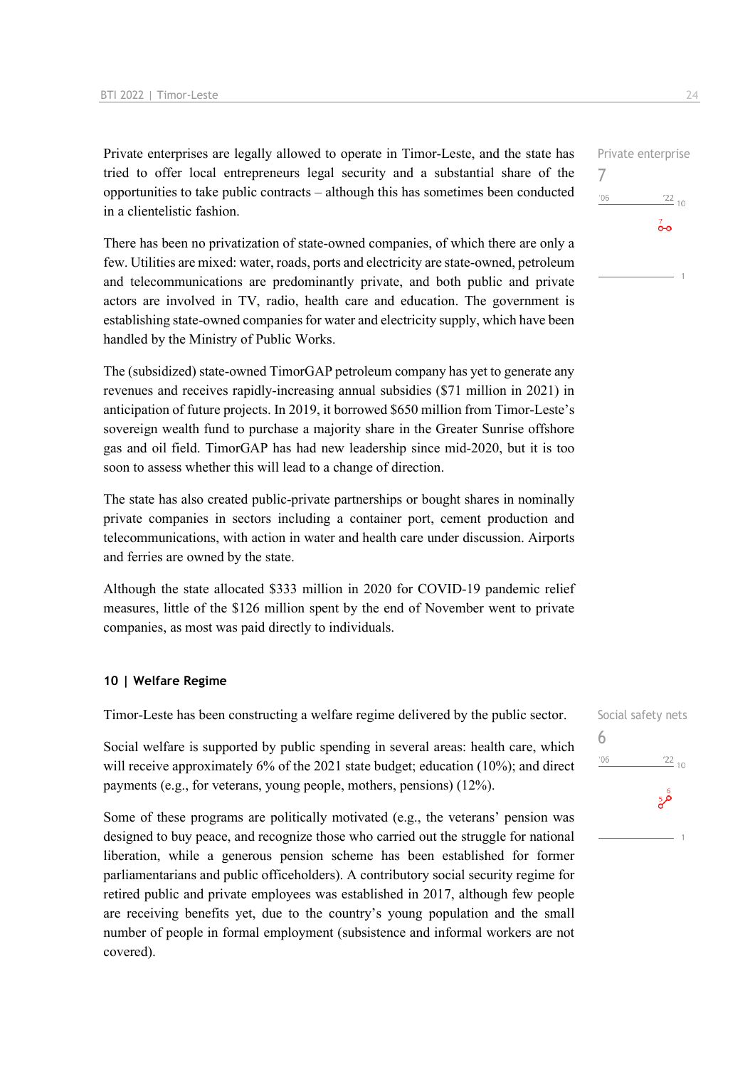Private enterprises are legally allowed to operate in Timor-Leste, and the state has tried to offer local entrepreneurs legal security and a substantial share of the opportunities to take public contracts – although this has sometimes been conducted in a clientelistic fashion.

There has been no privatization of state-owned companies, of which there are only a few. Utilities are mixed: water, roads, ports and electricity are state-owned, petroleum and telecommunications are predominantly private, and both public and private actors are involved in TV, radio, health care and education. The government is establishing state-owned companies for water and electricity supply, which have been handled by the Ministry of Public Works.

The (subsidized) state-owned TimorGAP petroleum company has yet to generate any revenues and receives rapidly-increasing annual subsidies (\$71 million in 2021) in anticipation of future projects. In 2019, it borrowed \$650 million from Timor-Leste's sovereign wealth fund to purchase a majority share in the Greater Sunrise offshore gas and oil field. TimorGAP has had new leadership since mid-2020, but it is too soon to assess whether this will lead to a change of direction.

The state has also created public-private partnerships or bought shares in nominally private companies in sectors including a container port, cement production and telecommunications, with action in water and health care under discussion. Airports and ferries are owned by the state.

Although the state allocated \$333 million in 2020 for COVID-19 pandemic relief measures, little of the \$126 million spent by the end of November went to private companies, as most was paid directly to individuals.

#### **10 | Welfare Regime**

Timor-Leste has been constructing a welfare regime delivered by the public sector.

Social welfare is supported by public spending in several areas: health care, which will receive approximately 6% of the 2021 state budget; education (10%); and direct payments (e.g., for veterans, young people, mothers, pensions) (12%).

Some of these programs are politically motivated (e.g., the veterans' pension was designed to buy peace, and recognize those who carried out the struggle for national liberation, while a generous pension scheme has been established for former parliamentarians and public officeholders). A contributory social security regime for retired public and private employees was established in 2017, although few people are receiving benefits yet, due to the country's young population and the small number of people in formal employment (subsistence and informal workers are not covered).



Social safety nets 6 $\frac{22}{10}$  $-06$  $\mathring{\mathbf{a}}^{\mathfrak{b}}$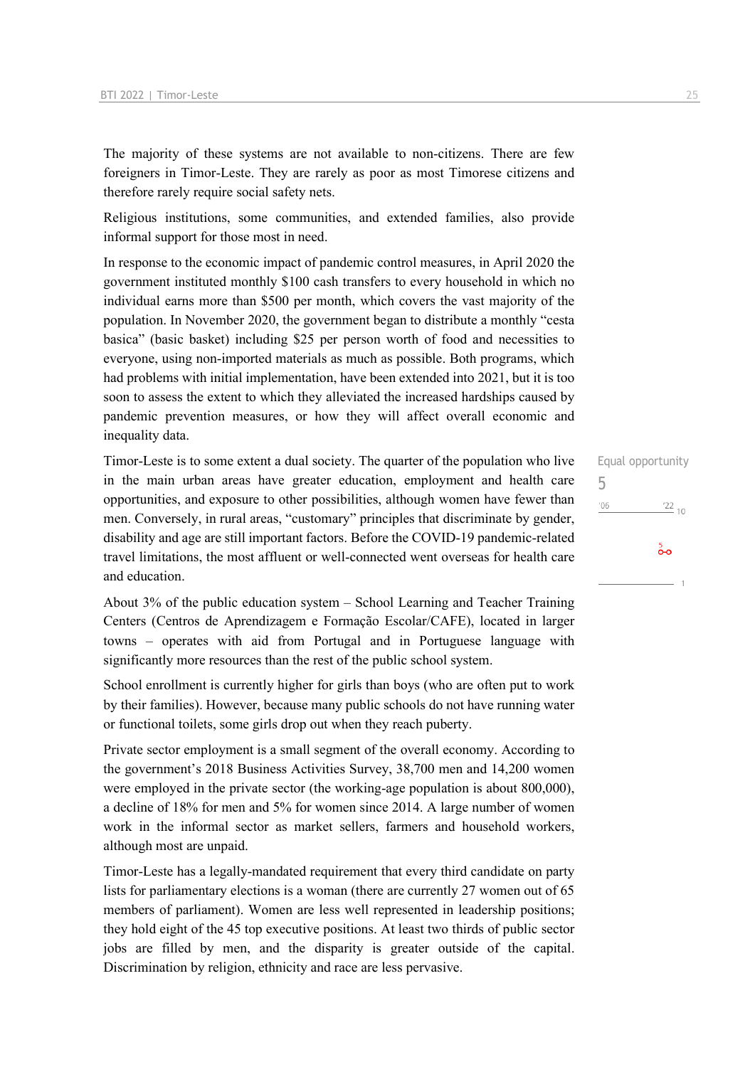The majority of these systems are not available to non-citizens. There are few foreigners in Timor-Leste. They are rarely as poor as most Timorese citizens and therefore rarely require social safety nets.

Religious institutions, some communities, and extended families, also provide informal support for those most in need.

In response to the economic impact of pandemic control measures, in April 2020 the government instituted monthly \$100 cash transfers to every household in which no individual earns more than \$500 per month, which covers the vast majority of the population. In November 2020, the government began to distribute a monthly "cesta basica" (basic basket) including \$25 per person worth of food and necessities to everyone, using non-imported materials as much as possible. Both programs, which had problems with initial implementation, have been extended into 2021, but it is too soon to assess the extent to which they alleviated the increased hardships caused by pandemic prevention measures, or how they will affect overall economic and inequality data.

Timor-Leste is to some extent a dual society. The quarter of the population who live in the main urban areas have greater education, employment and health care opportunities, and exposure to other possibilities, although women have fewer than men. Conversely, in rural areas, "customary" principles that discriminate by gender, disability and age are still important factors. Before the COVID-19 pandemic-related travel limitations, the most affluent or well-connected went overseas for health care and education.

About 3% of the public education system – School Learning and Teacher Training Centers (Centros de Aprendizagem e Formação Escolar/CAFE), located in larger towns – operates with aid from Portugal and in Portuguese language with significantly more resources than the rest of the public school system.

School enrollment is currently higher for girls than boys (who are often put to work by their families). However, because many public schools do not have running water or functional toilets, some girls drop out when they reach puberty.

Private sector employment is a small segment of the overall economy. According to the government's 2018 Business Activities Survey, 38,700 men and 14,200 women were employed in the private sector (the working-age population is about 800,000), a decline of 18% for men and 5% for women since 2014. A large number of women work in the informal sector as market sellers, farmers and household workers, although most are unpaid.

Timor-Leste has a legally-mandated requirement that every third candidate on party lists for parliamentary elections is a woman (there are currently 27 women out of 65 members of parliament). Women are less well represented in leadership positions; they hold eight of the 45 top executive positions. At least two thirds of public sector jobs are filled by men, and the disparity is greater outside of the capital. Discrimination by religion, ethnicity and race are less pervasive.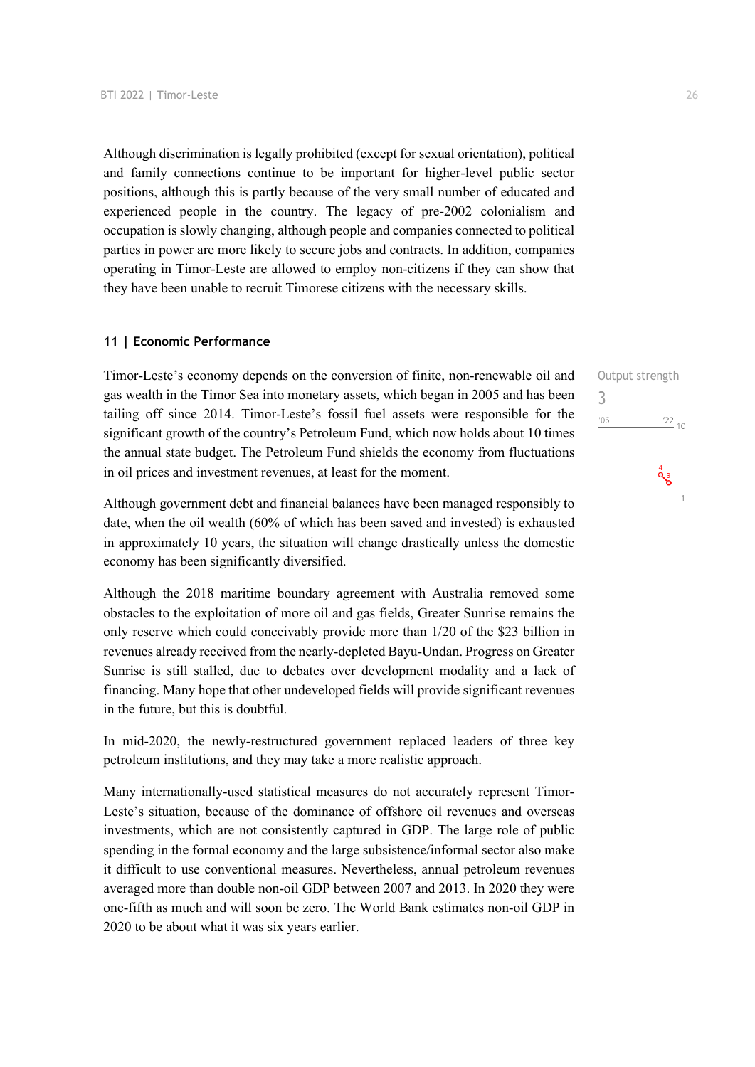Although discrimination is legally prohibited (except for sexual orientation), political and family connections continue to be important for higher-level public sector positions, although this is partly because of the very small number of educated and experienced people in the country. The legacy of pre-2002 colonialism and occupation is slowly changing, although people and companies connected to political parties in power are more likely to secure jobs and contracts. In addition, companies operating in Timor-Leste are allowed to employ non-citizens if they can show that they have been unable to recruit Timorese citizens with the necessary skills.

#### **11 | Economic Performance**

Timor-Leste's economy depends on the conversion of finite, non-renewable oil and gas wealth in the Timor Sea into monetary assets, which began in 2005 and has been tailing off since 2014. Timor-Leste's fossil fuel assets were responsible for the significant growth of the country's Petroleum Fund, which now holds about 10 times the annual state budget. The Petroleum Fund shields the economy from fluctuations in oil prices and investment revenues, at least for the moment.

Although government debt and financial balances have been managed responsibly to date, when the oil wealth (60% of which has been saved and invested) is exhausted in approximately 10 years, the situation will change drastically unless the domestic economy has been significantly diversified.

Although the 2018 maritime boundary agreement with Australia removed some obstacles to the exploitation of more oil and gas fields, Greater Sunrise remains the only reserve which could conceivably provide more than 1/20 of the \$23 billion in revenues already received from the nearly-depleted Bayu-Undan. Progress on Greater Sunrise is still stalled, due to debates over development modality and a lack of financing. Many hope that other undeveloped fields will provide significant revenues in the future, but this is doubtful.

In mid-2020, the newly-restructured government replaced leaders of three key petroleum institutions, and they may take a more realistic approach.

Many internationally-used statistical measures do not accurately represent Timor-Leste's situation, because of the dominance of offshore oil revenues and overseas investments, which are not consistently captured in GDP. The large role of public spending in the formal economy and the large subsistence/informal sector also make it difficult to use conventional measures. Nevertheless, annual petroleum revenues averaged more than double non-oil GDP between 2007 and 2013. In 2020 they were one-fifth as much and will soon be zero. The World Bank estimates non-oil GDP in 2020 to be about what it was six years earlier.

Output strength 3 $'06$  $^{22}$  10  $a^4$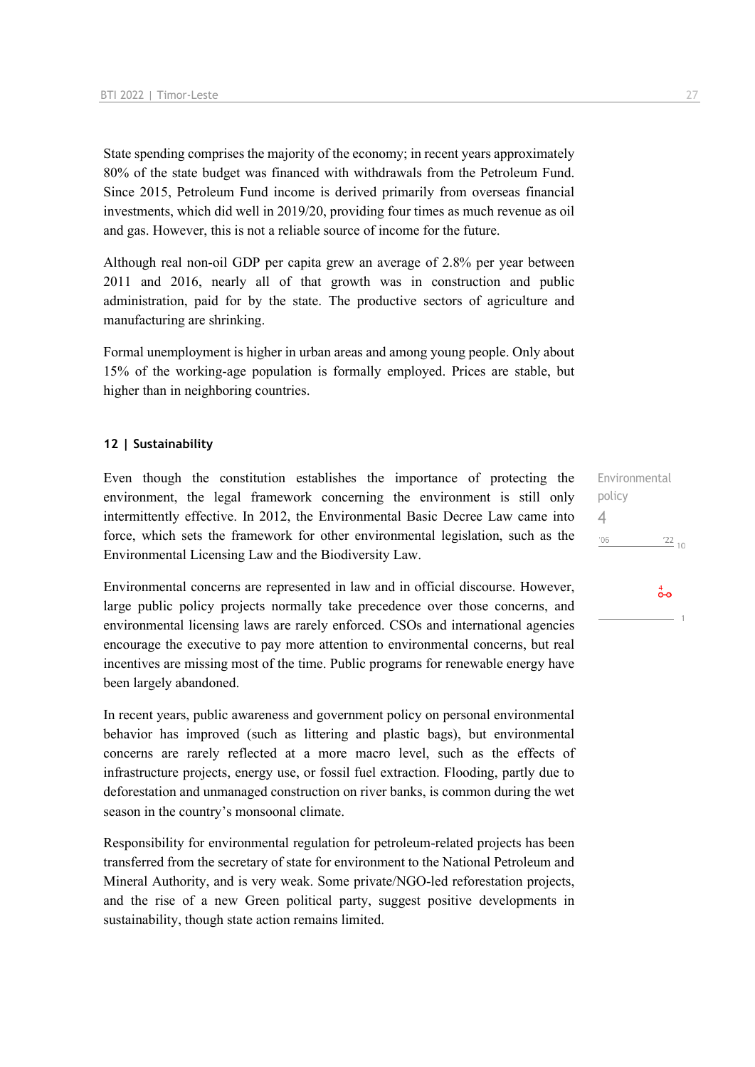State spending comprises the majority of the economy; in recent years approximately 80% of the state budget was financed with withdrawals from the Petroleum Fund. Since 2015, Petroleum Fund income is derived primarily from overseas financial investments, which did well in 2019/20, providing four times as much revenue as oil and gas. However, this is not a reliable source of income for the future.

Although real non-oil GDP per capita grew an average of 2.8% per year between 2011 and 2016, nearly all of that growth was in construction and public administration, paid for by the state. The productive sectors of agriculture and manufacturing are shrinking.

Formal unemployment is higher in urban areas and among young people. Only about 15% of the working-age population is formally employed. Prices are stable, but higher than in neighboring countries.

#### **12 | Sustainability**

Even though the constitution establishes the importance of protecting the environment, the legal framework concerning the environment is still only intermittently effective. In 2012, the Environmental Basic Decree Law came into force, which sets the framework for other environmental legislation, such as the Environmental Licensing Law and the Biodiversity Law.

Environmental concerns are represented in law and in official discourse. However, large public policy projects normally take precedence over those concerns, and environmental licensing laws are rarely enforced. CSOs and international agencies encourage the executive to pay more attention to environmental concerns, but real incentives are missing most of the time. Public programs for renewable energy have been largely abandoned.

In recent years, public awareness and government policy on personal environmental behavior has improved (such as littering and plastic bags), but environmental concerns are rarely reflected at a more macro level, such as the effects of infrastructure projects, energy use, or fossil fuel extraction. Flooding, partly due to deforestation and unmanaged construction on river banks, is common during the wet season in the country's monsoonal climate.

Responsibility for environmental regulation for petroleum-related projects has been transferred from the secretary of state for environment to the National Petroleum and Mineral Authority, and is very weak. Some private/NGO-led reforestation projects, and the rise of a new Green political party, suggest positive developments in sustainability, though state action remains limited.

Environmental policy 4 $'06$  $\frac{22}{10}$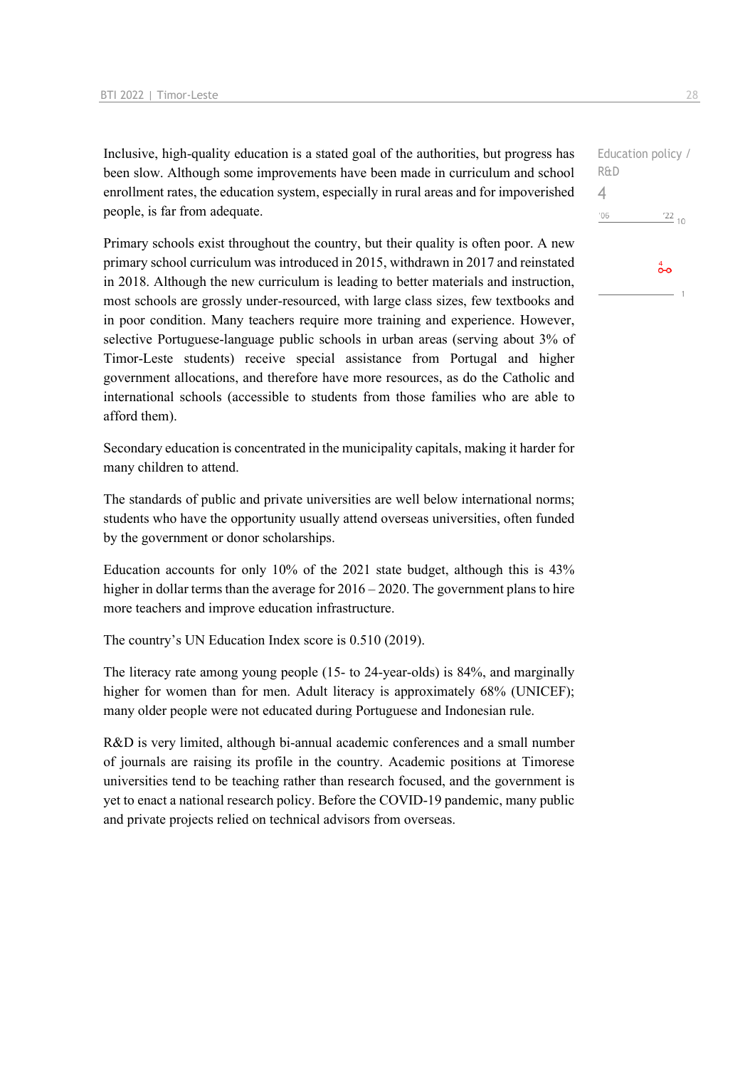Inclusive, high-quality education is a stated goal of the authorities, but progress has been slow. Although some improvements have been made in curriculum and school enrollment rates, the education system, especially in rural areas and for impoverished people, is far from adequate.

Primary schools exist throughout the country, but their quality is often poor. A new primary school curriculum was introduced in 2015, withdrawn in 2017 and reinstated in 2018. Although the new curriculum is leading to better materials and instruction, most schools are grossly under-resourced, with large class sizes, few textbooks and in poor condition. Many teachers require more training and experience. However, selective Portuguese-language public schools in urban areas (serving about 3% of Timor-Leste students) receive special assistance from Portugal and higher government allocations, and therefore have more resources, as do the Catholic and international schools (accessible to students from those families who are able to afford them).

Secondary education is concentrated in the municipality capitals, making it harder for many children to attend.

The standards of public and private universities are well below international norms; students who have the opportunity usually attend overseas universities, often funded by the government or donor scholarships.

Education accounts for only 10% of the 2021 state budget, although this is 43% higher in dollar terms than the average for  $2016 - 2020$ . The government plans to hire more teachers and improve education infrastructure.

The country's UN Education Index score is 0.510 (2019).

The literacy rate among young people (15- to 24-year-olds) is 84%, and marginally higher for women than for men. Adult literacy is approximately 68% (UNICEF); many older people were not educated during Portuguese and Indonesian rule.

R&D is very limited, although bi-annual academic conferences and a small number of journals are raising its profile in the country. Academic positions at Timorese universities tend to be teaching rather than research focused, and the government is yet to enact a national research policy. Before the COVID-19 pandemic, many public and private projects relied on technical advisors from overseas.

Education policy / R&D  $\Delta$  $106$  $\frac{22}{10}$  $\overset{4}{\bullet}$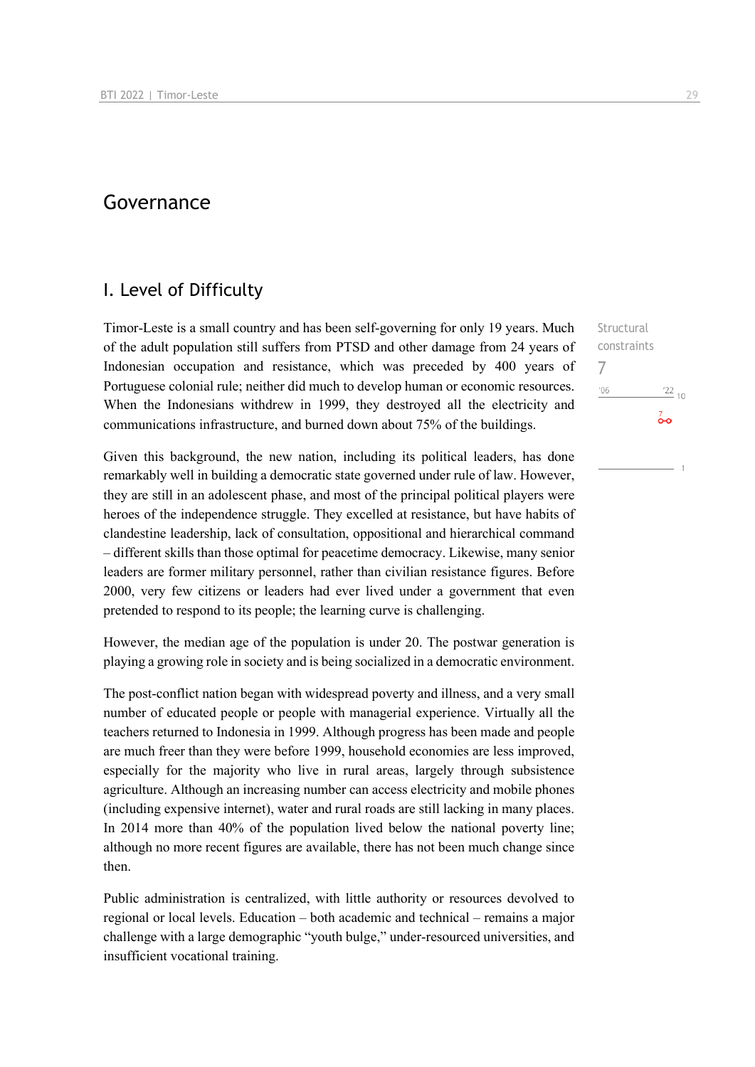## Governance

## I. Level of Difficulty

Timor-Leste is a small country and has been self-governing for only 19 years. Much of the adult population still suffers from PTSD and other damage from 24 years of Indonesian occupation and resistance, which was preceded by 400 years of Portuguese colonial rule; neither did much to develop human or economic resources. When the Indonesians withdrew in 1999, they destroyed all the electricity and communications infrastructure, and burned down about 75% of the buildings.

Given this background, the new nation, including its political leaders, has done remarkably well in building a democratic state governed under rule of law. However, they are still in an adolescent phase, and most of the principal political players were heroes of the independence struggle. They excelled at resistance, but have habits of clandestine leadership, lack of consultation, oppositional and hierarchical command – different skills than those optimal for peacetime democracy. Likewise, many senior leaders are former military personnel, rather than civilian resistance figures. Before 2000, very few citizens or leaders had ever lived under a government that even pretended to respond to its people; the learning curve is challenging.

However, the median age of the population is under 20. The postwar generation is playing a growing role in society and is being socialized in a democratic environment.

The post-conflict nation began with widespread poverty and illness, and a very small number of educated people or people with managerial experience. Virtually all the teachers returned to Indonesia in 1999. Although progress has been made and people are much freer than they were before 1999, household economies are less improved, especially for the majority who live in rural areas, largely through subsistence agriculture. Although an increasing number can access electricity and mobile phones (including expensive internet), water and rural roads are still lacking in many places. In 2014 more than 40% of the population lived below the national poverty line; although no more recent figures are available, there has not been much change since then.

Public administration is centralized, with little authority or resources devolved to regional or local levels. Education – both academic and technical – remains a major challenge with a large demographic "youth bulge," under-resourced universities, and insufficient vocational training.

**Structural** constraints 7 $106$  $^{22}$  10  $\overline{0}$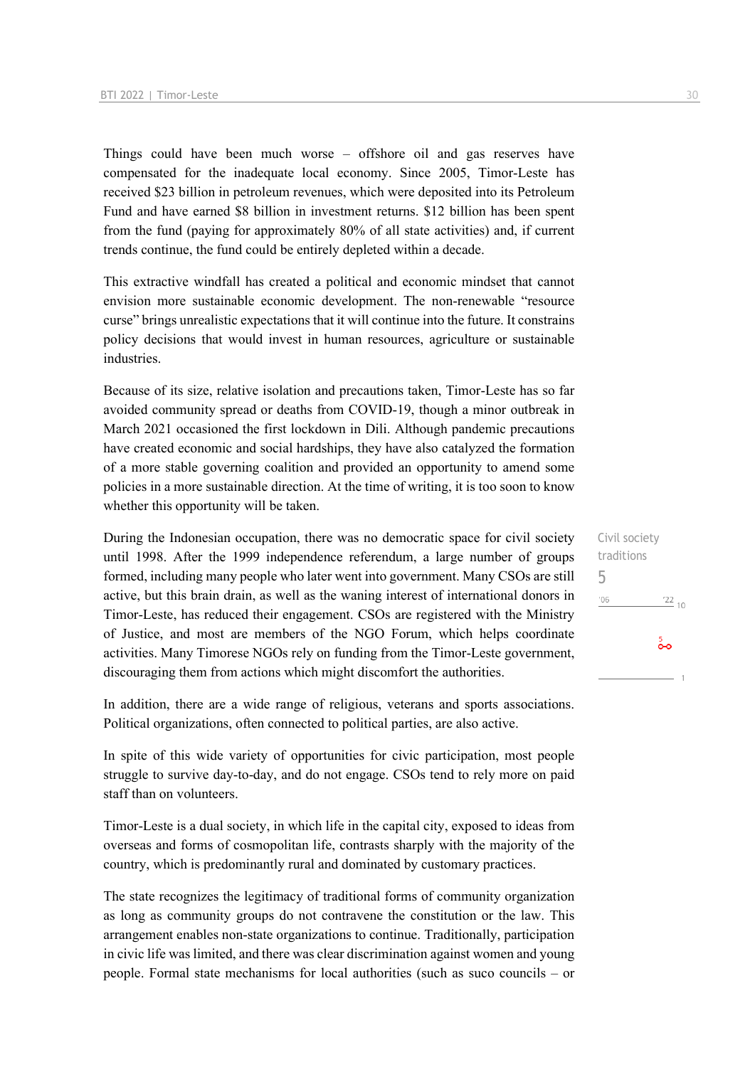Things could have been much worse – offshore oil and gas reserves have compensated for the inadequate local economy. Since 2005, Timor-Leste has received \$23 billion in petroleum revenues, which were deposited into its Petroleum Fund and have earned \$8 billion in investment returns. \$12 billion has been spent from the fund (paying for approximately 80% of all state activities) and, if current trends continue, the fund could be entirely depleted within a decade.

This extractive windfall has created a political and economic mindset that cannot envision more sustainable economic development. The non-renewable "resource curse" brings unrealistic expectations that it will continue into the future. It constrains policy decisions that would invest in human resources, agriculture or sustainable industries.

Because of its size, relative isolation and precautions taken, Timor-Leste has so far avoided community spread or deaths from COVID-19, though a minor outbreak in March 2021 occasioned the first lockdown in Dili. Although pandemic precautions have created economic and social hardships, they have also catalyzed the formation of a more stable governing coalition and provided an opportunity to amend some policies in a more sustainable direction. At the time of writing, it is too soon to know whether this opportunity will be taken.

During the Indonesian occupation, there was no democratic space for civil society until 1998. After the 1999 independence referendum, a large number of groups formed, including many people who later went into government. Many CSOs are still active, but this brain drain, as well as the waning interest of international donors in Timor-Leste, has reduced their engagement. CSOs are registered with the Ministry of Justice, and most are members of the NGO Forum, which helps coordinate activities. Many Timorese NGOs rely on funding from the Timor-Leste government, discouraging them from actions which might discomfort the authorities.

In addition, there are a wide range of religious, veterans and sports associations. Political organizations, often connected to political parties, are also active.

In spite of this wide variety of opportunities for civic participation, most people struggle to survive day-to-day, and do not engage. CSOs tend to rely more on paid staff than on volunteers.

Timor-Leste is a dual society, in which life in the capital city, exposed to ideas from overseas and forms of cosmopolitan life, contrasts sharply with the majority of the country, which is predominantly rural and dominated by customary practices.

The state recognizes the legitimacy of traditional forms of community organization as long as community groups do not contravene the constitution or the law. This arrangement enables non-state organizations to continue. Traditionally, participation in civic life was limited, and there was clear discrimination against women and young people. Formal state mechanisms for local authorities (such as suco councils – or

Civil society traditions 5 $'06$  $\frac{22}{10}$  $\frac{5}{00}$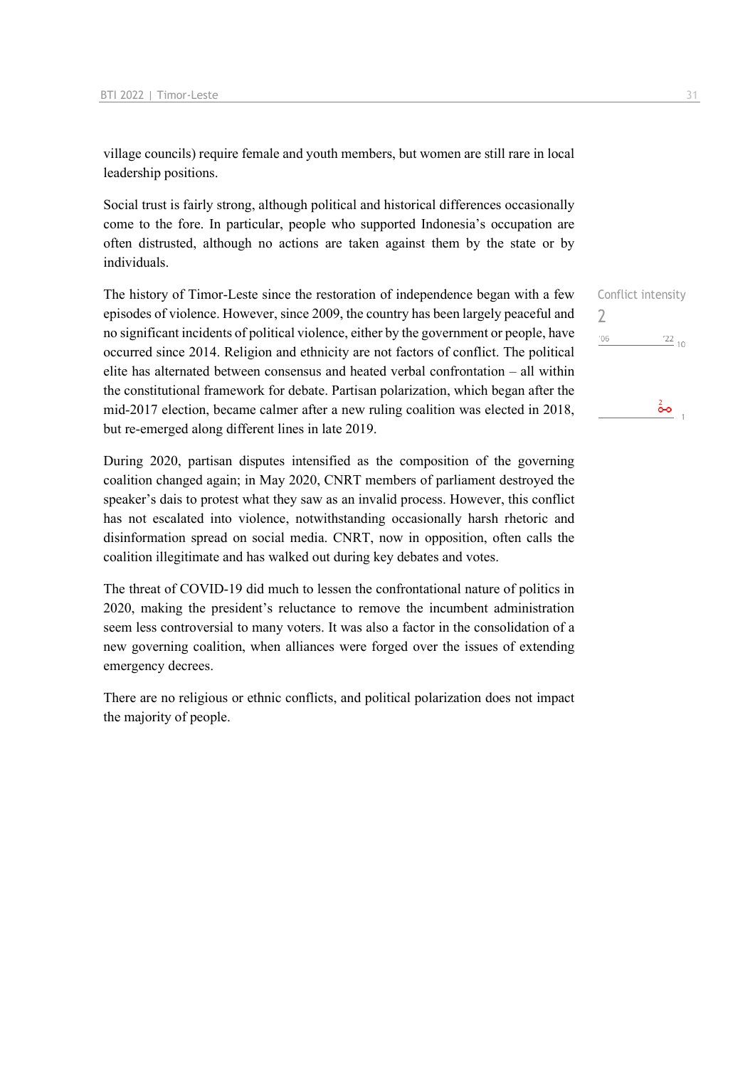village councils) require female and youth members, but women are still rare in local leadership positions.

Social trust is fairly strong, although political and historical differences occasionally come to the fore. In particular, people who supported Indonesia's occupation are often distrusted, although no actions are taken against them by the state or by individuals.

The history of Timor-Leste since the restoration of independence began with a few episodes of violence. However, since 2009, the country has been largely peaceful and no significant incidents of political violence, either by the government or people, have occurred since 2014. Religion and ethnicity are not factors of conflict. The political elite has alternated between consensus and heated verbal confrontation – all within the constitutional framework for debate. Partisan polarization, which began after the mid-2017 election, became calmer after a new ruling coalition was elected in 2018, but re-emerged along different lines in late 2019.

During 2020, partisan disputes intensified as the composition of the governing coalition changed again; in May 2020, CNRT members of parliament destroyed the speaker's dais to protest what they saw as an invalid process. However, this conflict has not escalated into violence, notwithstanding occasionally harsh rhetoric and disinformation spread on social media. CNRT, now in opposition, often calls the coalition illegitimate and has walked out during key debates and votes.

The threat of COVID-19 did much to lessen the confrontational nature of politics in 2020, making the president's reluctance to remove the incumbent administration seem less controversial to many voters. It was also a factor in the consolidation of a new governing coalition, when alliances were forged over the issues of extending emergency decrees.

There are no religious or ethnic conflicts, and political polarization does not impact the majority of people.

|     | Conflict intensity |
|-----|--------------------|
|     |                    |
| '06 | $\frac{22}{10}$    |
|     |                    |
|     |                    |
|     |                    |
|     |                    |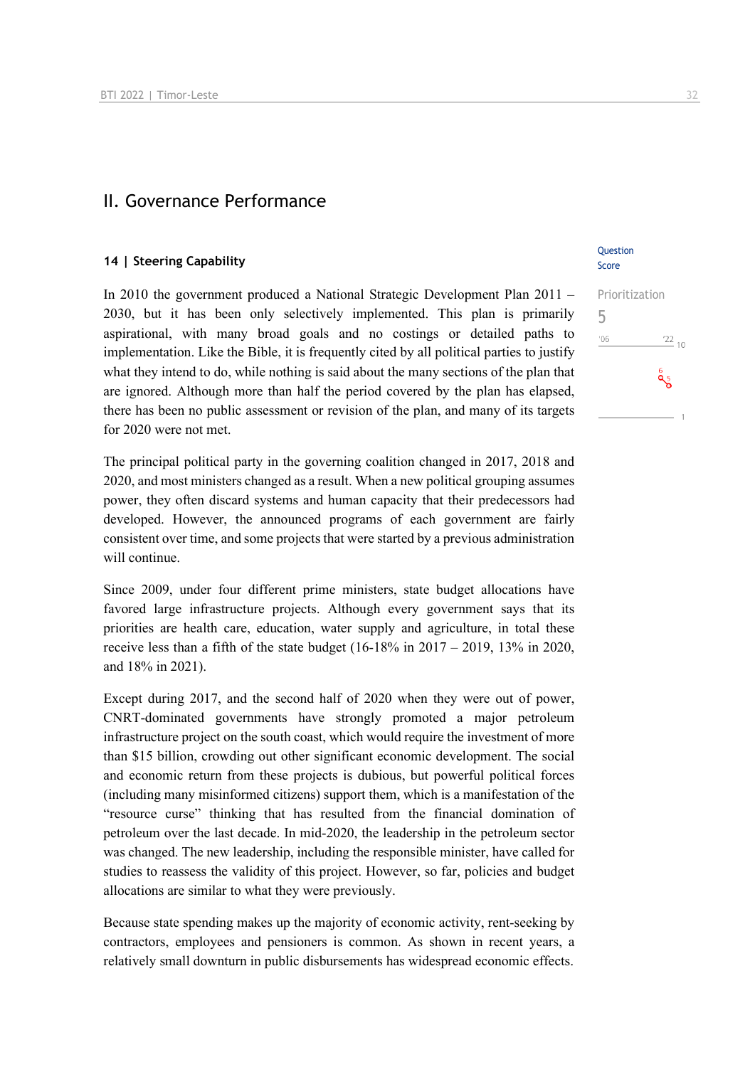### II. Governance Performance

#### **14 | Steering Capability**

In 2010 the government produced a National Strategic Development Plan 2011 – 2030, but it has been only selectively implemented. This plan is primarily aspirational, with many broad goals and no costings or detailed paths to implementation. Like the Bible, it is frequently cited by all political parties to justify what they intend to do, while nothing is said about the many sections of the plan that are ignored. Although more than half the period covered by the plan has elapsed, there has been no public assessment or revision of the plan, and many of its targets for 2020 were not met.

The principal political party in the governing coalition changed in 2017, 2018 and 2020, and most ministers changed as a result. When a new political grouping assumes power, they often discard systems and human capacity that their predecessors had developed. However, the announced programs of each government are fairly consistent over time, and some projects that were started by a previous administration will continue.

Since 2009, under four different prime ministers, state budget allocations have favored large infrastructure projects. Although every government says that its priorities are health care, education, water supply and agriculture, in total these receive less than a fifth of the state budget  $(16-18\% \text{ in } 2017 - 2019, 13\% \text{ in } 2020,$ and 18% in 2021).

Except during 2017, and the second half of 2020 when they were out of power, CNRT-dominated governments have strongly promoted a major petroleum infrastructure project on the south coast, which would require the investment of more than \$15 billion, crowding out other significant economic development. The social and economic return from these projects is dubious, but powerful political forces (including many misinformed citizens) support them, which is a manifestation of the "resource curse" thinking that has resulted from the financial domination of petroleum over the last decade. In mid-2020, the leadership in the petroleum sector was changed. The new leadership, including the responsible minister, have called for studies to reassess the validity of this project. However, so far, policies and budget allocations are similar to what they were previously.

Because state spending makes up the majority of economic activity, rent-seeking by contractors, employees and pensioners is common. As shown in recent years, a relatively small downturn in public disbursements has widespread economic effects.

#### **Ouestion** Score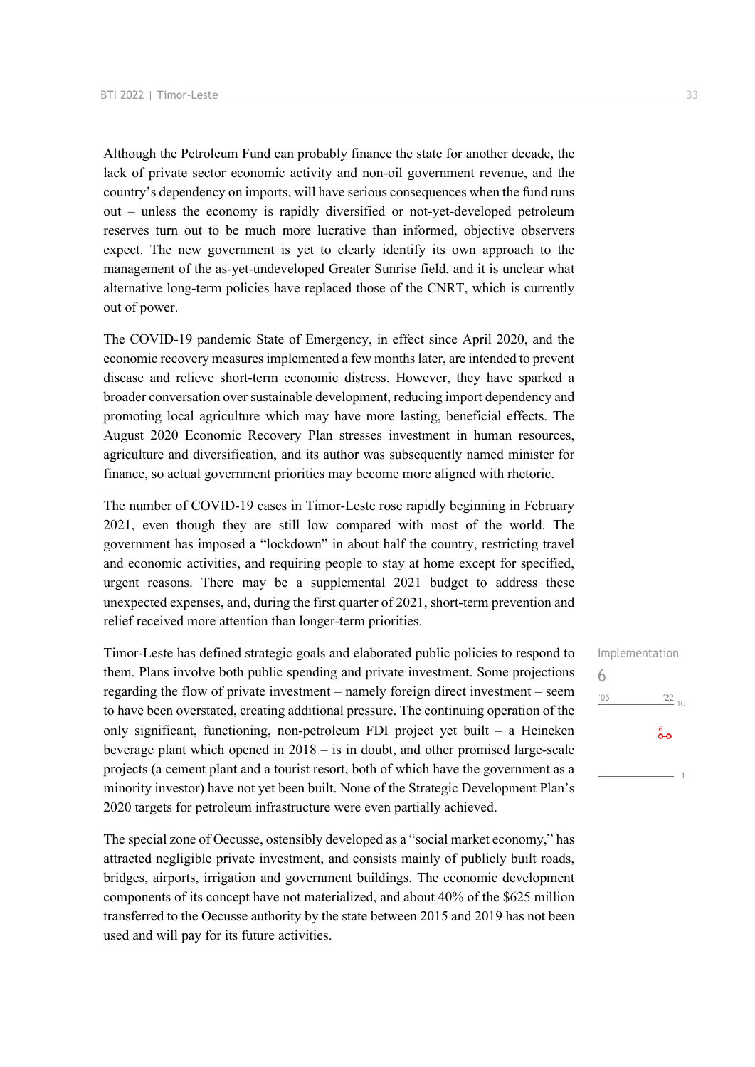Although the Petroleum Fund can probably finance the state for another decade, the lack of private sector economic activity and non-oil government revenue, and the country's dependency on imports, will have serious consequences when the fund runs out – unless the economy is rapidly diversified or not-yet-developed petroleum reserves turn out to be much more lucrative than informed, objective observers expect. The new government is yet to clearly identify its own approach to the management of the as-yet-undeveloped Greater Sunrise field, and it is unclear what alternative long-term policies have replaced those of the CNRT, which is currently out of power.

The COVID-19 pandemic State of Emergency, in effect since April 2020, and the economic recovery measures implemented a few months later, are intended to prevent disease and relieve short-term economic distress. However, they have sparked a broader conversation over sustainable development, reducing import dependency and promoting local agriculture which may have more lasting, beneficial effects. The August 2020 Economic Recovery Plan stresses investment in human resources, agriculture and diversification, and its author was subsequently named minister for finance, so actual government priorities may become more aligned with rhetoric.

The number of COVID-19 cases in Timor-Leste rose rapidly beginning in February 2021, even though they are still low compared with most of the world. The government has imposed a "lockdown" in about half the country, restricting travel and economic activities, and requiring people to stay at home except for specified, urgent reasons. There may be a supplemental 2021 budget to address these unexpected expenses, and, during the first quarter of 2021, short-term prevention and relief received more attention than longer-term priorities.

Timor-Leste has defined strategic goals and elaborated public policies to respond to them. Plans involve both public spending and private investment. Some projections regarding the flow of private investment – namely foreign direct investment – seem to have been overstated, creating additional pressure. The continuing operation of the only significant, functioning, non-petroleum FDI project yet built – a Heineken beverage plant which opened in 2018 – is in doubt, and other promised large-scale projects (a cement plant and a tourist resort, both of which have the government as a minority investor) have not yet been built. None of the Strategic Development Plan's 2020 targets for petroleum infrastructure were even partially achieved.

The special zone of Oecusse, ostensibly developed as a "social market economy," has attracted negligible private investment, and consists mainly of publicly built roads, bridges, airports, irrigation and government buildings. The economic development components of its concept have not materialized, and about 40% of the \$625 million transferred to the Oecusse authority by the state between 2015 and 2019 has not been used and will pay for its future activities.

Implementation 6 $\frac{22}{10}$  $'06$ စိစ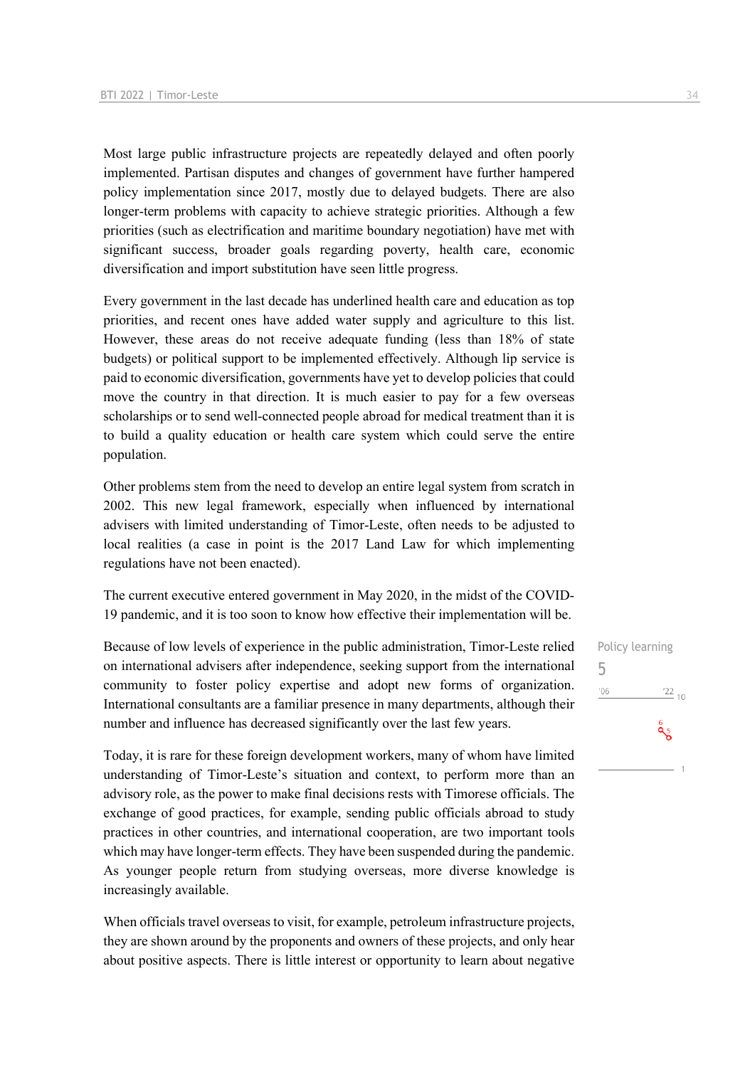Most large public infrastructure projects are repeatedly delayed and often poorly implemented. Partisan disputes and changes of government have further hampered policy implementation since 2017, mostly due to delayed budgets. There are also longer-term problems with capacity to achieve strategic priorities. Although a few priorities (such as electrification and maritime boundary negotiation) have met with significant success, broader goals regarding poverty, health care, economic diversification and import substitution have seen little progress.

Every government in the last decade has underlined health care and education as top priorities, and recent ones have added water supply and agriculture to this list. However, these areas do not receive adequate funding (less than 18% of state budgets) or political support to be implemented effectively. Although lip service is paid to economic diversification, governments have yet to develop policies that could move the country in that direction. It is much easier to pay for a few overseas scholarships or to send well-connected people abroad for medical treatment than it is to build a quality education or health care system which could serve the entire population.

Other problems stem from the need to develop an entire legal system from scratch in 2002. This new legal framework, especially when influenced by international advisers with limited understanding of Timor-Leste, often needs to be adjusted to local realities (a case in point is the 2017 Land Law for which implementing regulations have not been enacted).

The current executive entered government in May 2020, in the midst of the COVID-19 pandemic, and it is too soon to know how effective their implementation will be.

Because of low levels of experience in the public administration, Timor-Leste relied on international advisers after independence, seeking support from the international community to foster policy expertise and adopt new forms of organization. International consultants are a familiar presence in many departments, although their number and influence has decreased significantly over the last few years.

Today, it is rare for these foreign development workers, many of whom have limited understanding of Timor-Leste's situation and context, to perform more than an advisory role, as the power to make final decisions rests with Timorese officials. The exchange of good practices, for example, sending public officials abroad to study practices in other countries, and international cooperation, are two important tools which may have longer-term effects. They have been suspended during the pandemic. As younger people return from studying overseas, more diverse knowledge is increasingly available.

When officials travel overseas to visit, for example, petroleum infrastructure projects, they are shown around by the proponents and owners of these projects, and only hear about positive aspects. There is little interest or opportunity to learn about negative Policy learning 5 $^{\prime}06$  $\frac{22}{10}$  $a_{5}$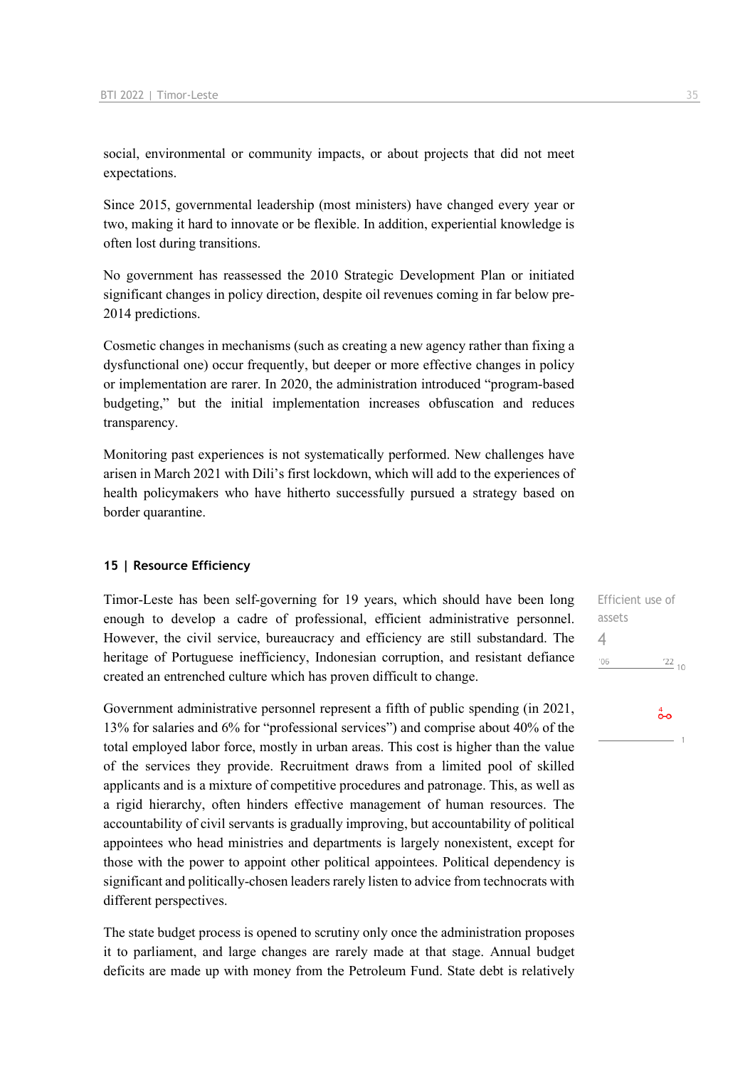social, environmental or community impacts, or about projects that did not meet expectations.

Since 2015, governmental leadership (most ministers) have changed every year or two, making it hard to innovate or be flexible. In addition, experiential knowledge is often lost during transitions.

No government has reassessed the 2010 Strategic Development Plan or initiated significant changes in policy direction, despite oil revenues coming in far below pre-2014 predictions.

Cosmetic changes in mechanisms (such as creating a new agency rather than fixing a dysfunctional one) occur frequently, but deeper or more effective changes in policy or implementation are rarer. In 2020, the administration introduced "program-based budgeting," but the initial implementation increases obfuscation and reduces transparency.

Monitoring past experiences is not systematically performed. New challenges have arisen in March 2021 with Dili's first lockdown, which will add to the experiences of health policymakers who have hitherto successfully pursued a strategy based on border quarantine.

#### **15 | Resource Efficiency**

Timor-Leste has been self-governing for 19 years, which should have been long enough to develop a cadre of professional, efficient administrative personnel. However, the civil service, bureaucracy and efficiency are still substandard. The heritage of Portuguese inefficiency, Indonesian corruption, and resistant defiance created an entrenched culture which has proven difficult to change.

Government administrative personnel represent a fifth of public spending (in 2021, 13% for salaries and 6% for "professional services") and comprise about 40% of the total employed labor force, mostly in urban areas. This cost is higher than the value of the services they provide. Recruitment draws from a limited pool of skilled applicants and is a mixture of competitive procedures and patronage. This, as well as a rigid hierarchy, often hinders effective management of human resources. The accountability of civil servants is gradually improving, but accountability of political appointees who head ministries and departments is largely nonexistent, except for those with the power to appoint other political appointees. Political dependency is significant and politically-chosen leaders rarely listen to advice from technocrats with different perspectives.

The state budget process is opened to scrutiny only once the administration proposes it to parliament, and large changes are rarely made at that stage. Annual budget deficits are made up with money from the Petroleum Fund. State debt is relatively

Efficient use of assets 4 $'06$  $\frac{22}{10}$ 

## $\overset{4}{\bullet}$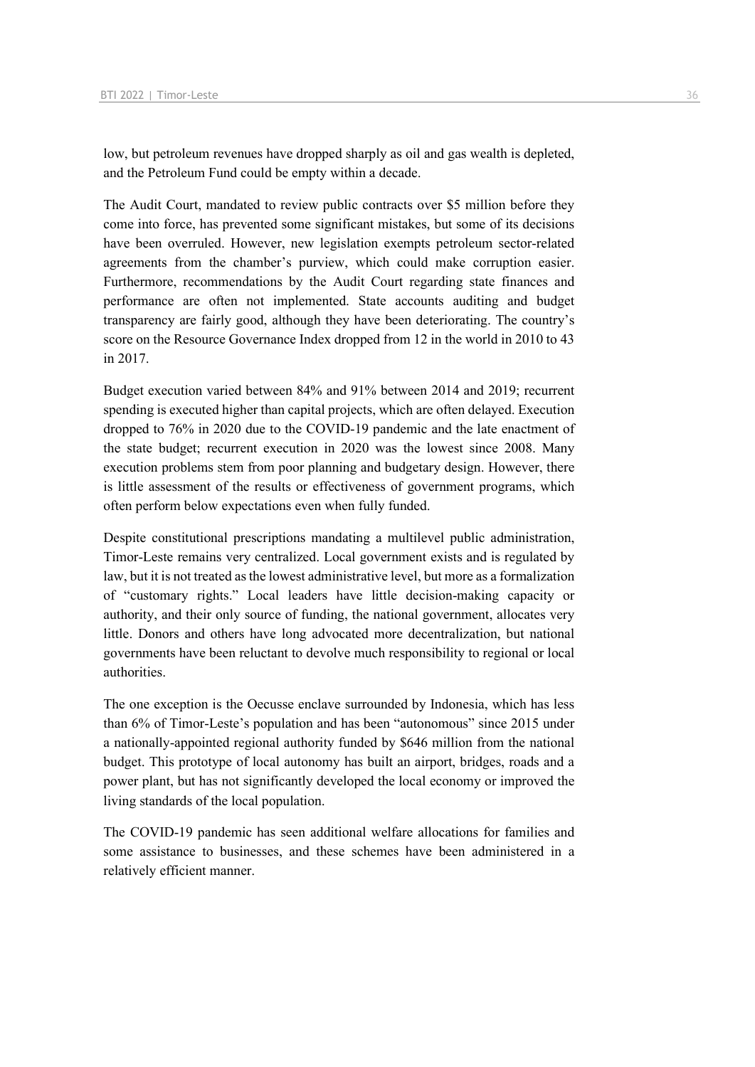low, but petroleum revenues have dropped sharply as oil and gas wealth is depleted, and the Petroleum Fund could be empty within a decade.

The Audit Court, mandated to review public contracts over \$5 million before they come into force, has prevented some significant mistakes, but some of its decisions have been overruled. However, new legislation exempts petroleum sector-related agreements from the chamber's purview, which could make corruption easier. Furthermore, recommendations by the Audit Court regarding state finances and performance are often not implemented. State accounts auditing and budget transparency are fairly good, although they have been deteriorating. The country's score on the Resource Governance Index dropped from 12 in the world in 2010 to 43 in 2017.

Budget execution varied between 84% and 91% between 2014 and 2019; recurrent spending is executed higher than capital projects, which are often delayed. Execution dropped to 76% in 2020 due to the COVID-19 pandemic and the late enactment of the state budget; recurrent execution in 2020 was the lowest since 2008. Many execution problems stem from poor planning and budgetary design. However, there is little assessment of the results or effectiveness of government programs, which often perform below expectations even when fully funded.

Despite constitutional prescriptions mandating a multilevel public administration, Timor-Leste remains very centralized. Local government exists and is regulated by law, but it is not treated as the lowest administrative level, but more as a formalization of "customary rights." Local leaders have little decision-making capacity or authority, and their only source of funding, the national government, allocates very little. Donors and others have long advocated more decentralization, but national governments have been reluctant to devolve much responsibility to regional or local authorities.

The one exception is the Oecusse enclave surrounded by Indonesia, which has less than 6% of Timor-Leste's population and has been "autonomous" since 2015 under a nationally-appointed regional authority funded by \$646 million from the national budget. This prototype of local autonomy has built an airport, bridges, roads and a power plant, but has not significantly developed the local economy or improved the living standards of the local population.

The COVID-19 pandemic has seen additional welfare allocations for families and some assistance to businesses, and these schemes have been administered in a relatively efficient manner.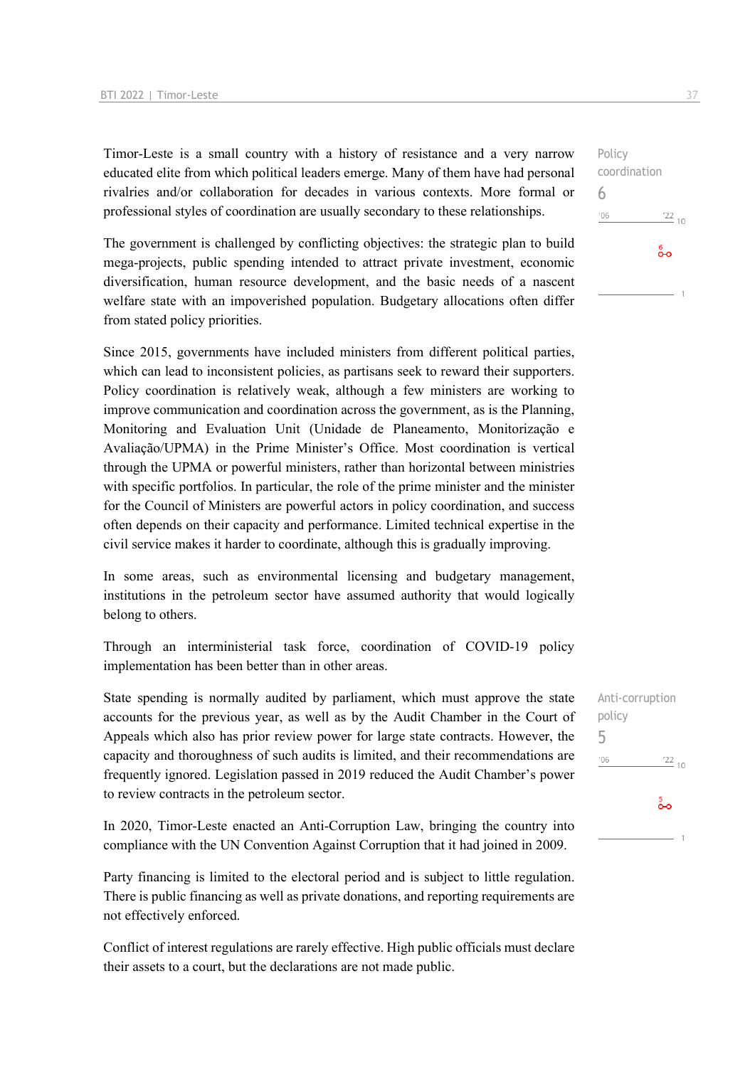Timor-Leste is a small country with a history of resistance and a very narrow educated elite from which political leaders emerge. Many of them have had personal rivalries and/or collaboration for decades in various contexts. More formal or professional styles of coordination are usually secondary to these relationships.

The government is challenged by conflicting objectives: the strategic plan to build mega-projects, public spending intended to attract private investment, economic diversification, human resource development, and the basic needs of a nascent welfare state with an impoverished population. Budgetary allocations often differ from stated policy priorities.

Since 2015, governments have included ministers from different political parties, which can lead to inconsistent policies, as partisans seek to reward their supporters. Policy coordination is relatively weak, although a few ministers are working to improve communication and coordination across the government, as is the Planning, Monitoring and Evaluation Unit (Unidade de Planeamento, Monitorização e Avaliação/UPMA) in the Prime Minister's Office. Most coordination is vertical through the UPMA or powerful ministers, rather than horizontal between ministries with specific portfolios. In particular, the role of the prime minister and the minister for the Council of Ministers are powerful actors in policy coordination, and success often depends on their capacity and performance. Limited technical expertise in the civil service makes it harder to coordinate, although this is gradually improving.

In some areas, such as environmental licensing and budgetary management, institutions in the petroleum sector have assumed authority that would logically belong to others.

Through an interministerial task force, coordination of COVID-19 policy implementation has been better than in other areas.

State spending is normally audited by parliament, which must approve the state accounts for the previous year, as well as by the Audit Chamber in the Court of Appeals which also has prior review power for large state contracts. However, the capacity and thoroughness of such audits is limited, and their recommendations are frequently ignored. Legislation passed in 2019 reduced the Audit Chamber's power to review contracts in the petroleum sector.

In 2020, Timor-Leste enacted an Anti-Corruption Law, bringing the country into compliance with the UN Convention Against Corruption that it had joined in 2009.

Party financing is limited to the electoral period and is subject to little regulation. There is public financing as well as private donations, and reporting requirements are not effectively enforced.

Conflict of interest regulations are rarely effective. High public officials must declare their assets to a court, but the declarations are not made public.

Anti-corruption policy 5 $-06$  $\frac{22}{10}$  $\frac{5}{20}$ 

Policy coordination 6  $^{\prime}06$  $122_{10}$  $\overset{6}{\bullet}$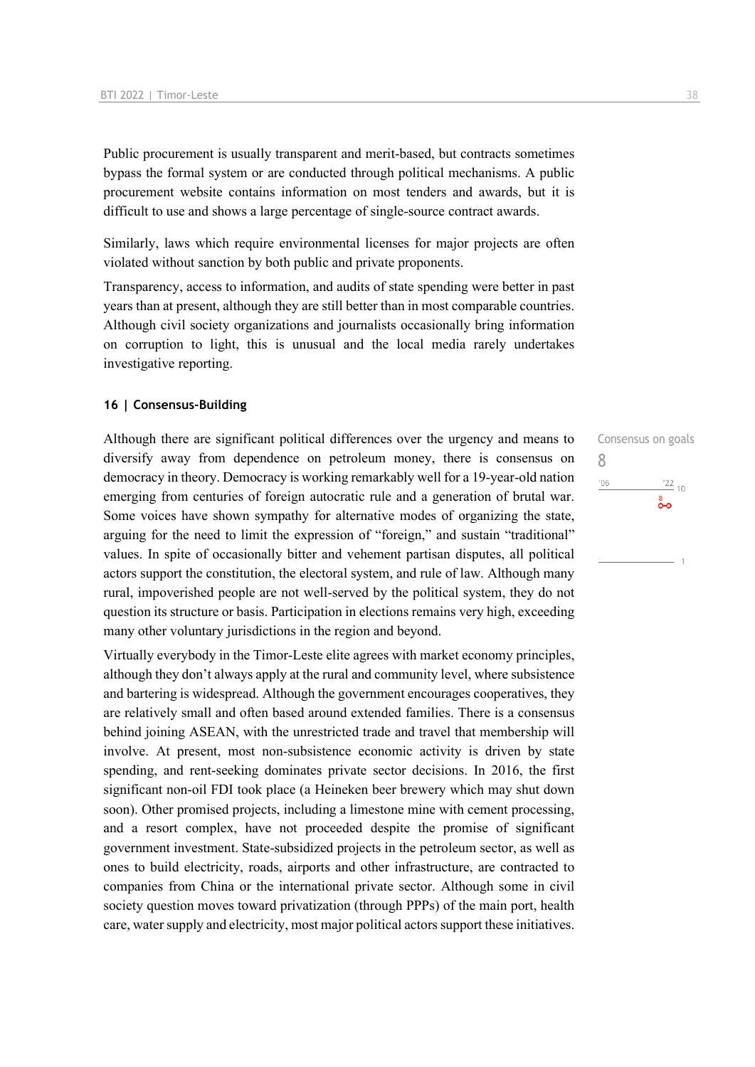Public procurement is usually transparent and merit-based, but contracts sometimes bypass the formal system or are conducted through political mechanisms. A public procurement website contains information on most tenders and awards, but it is difficult to use and shows a large percentage of single-source contract awards.

Similarly, laws which require environmental licenses for major projects are often violated without sanction by both public and private proponents.

Transparency, access to information, and audits of state spending were better in past years than at present, although they are still better than in most comparable countries. Although civil society organizations and journalists occasionally bring information on corruption to light, this is unusual and the local media rarely undertakes investigative reporting.

#### **16 | Consensus-Building**

Although there are significant political differences over the urgency and means to diversify away from dependence on petroleum money, there is consensus on democracy in theory. Democracy is working remarkably well for a 19-year-old nation emerging from centuries of foreign autocratic rule and a generation of brutal war. Some voices have shown sympathy for alternative modes of organizing the state, arguing for the need to limit the expression of "foreign," and sustain "traditional" values. In spite of occasionally bitter and vehement partisan disputes, all political actors support the constitution, the electoral system, and rule of law. Although many rural, impoverished people are not well-served by the political system, they do not question its structure or basis. Participation in elections remains very high, exceeding many other voluntary jurisdictions in the region and beyond.

Virtually everybody in the Timor-Leste elite agrees with market economy principles, although they don't always apply at the rural and community level, where subsistence and bartering is widespread. Although the government encourages cooperatives, they are relatively small and often based around extended families. There is a consensus behind joining ASEAN, with the unrestricted trade and travel that membership will involve. At present, most non-subsistence economic activity is driven by state spending, and rent-seeking dominates private sector decisions. In 2016, the first significant non-oil FDI took place (a Heineken beer brewery which may shut down soon). Other promised projects, including a limestone mine with cement processing, and a resort complex, have not proceeded despite the promise of significant government investment. State-subsidized projects in the petroleum sector, as well as ones to build electricity, roads, airports and other infrastructure, are contracted to companies from China or the international private sector. Although some in civil society question moves toward privatization (through PPPs) of the main port, health care, water supply and electricity, most major political actors support these initiatives. Consensus on goals 8 $06'$  $\frac{22}{10}$ စီဝ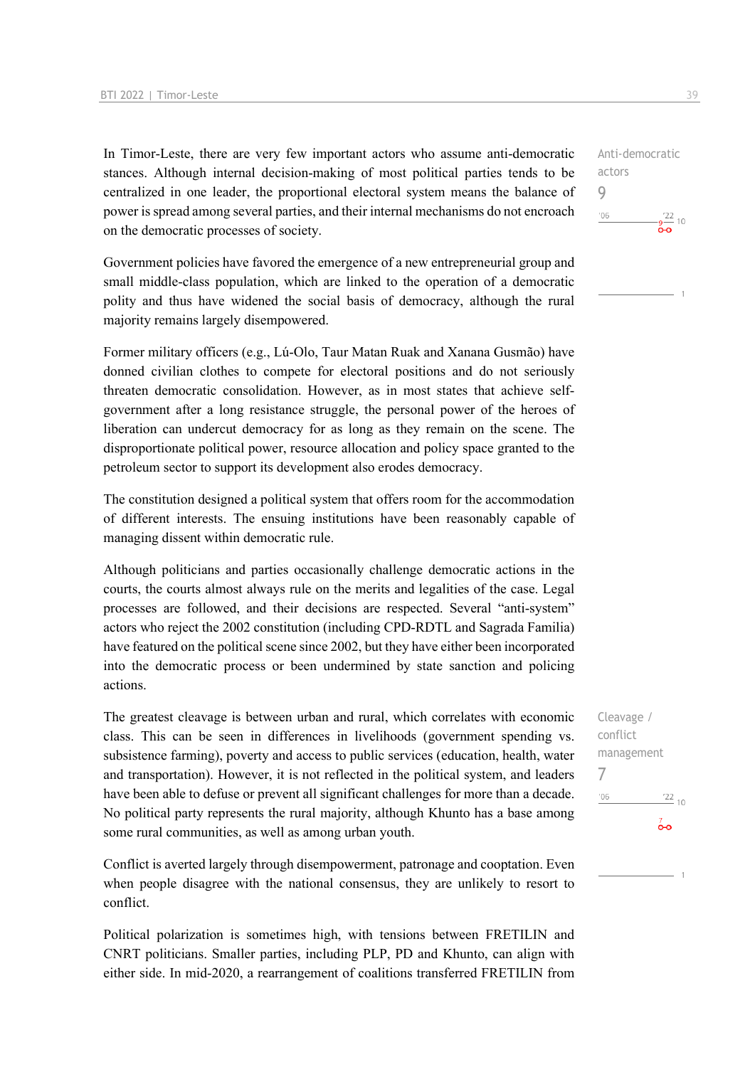In Timor-Leste, there are very few important actors who assume anti-democratic stances. Although internal decision-making of most political parties tends to be centralized in one leader, the proportional electoral system means the balance of power is spread among several parties, and their internal mechanisms do not encroach on the democratic processes of society.

Government policies have favored the emergence of a new entrepreneurial group and small middle-class population, which are linked to the operation of a democratic polity and thus have widened the social basis of democracy, although the rural majority remains largely disempowered.

Former military officers (e.g., Lú-Olo, Taur Matan Ruak and Xanana Gusmão) have donned civilian clothes to compete for electoral positions and do not seriously threaten democratic consolidation. However, as in most states that achieve selfgovernment after a long resistance struggle, the personal power of the heroes of liberation can undercut democracy for as long as they remain on the scene. The disproportionate political power, resource allocation and policy space granted to the petroleum sector to support its development also erodes democracy.

The constitution designed a political system that offers room for the accommodation of different interests. The ensuing institutions have been reasonably capable of managing dissent within democratic rule.

Although politicians and parties occasionally challenge democratic actions in the courts, the courts almost always rule on the merits and legalities of the case. Legal processes are followed, and their decisions are respected. Several "anti-system" actors who reject the 2002 constitution (including CPD-RDTL and Sagrada Familia) have featured on the political scene since 2002, but they have either been incorporated into the democratic process or been undermined by state sanction and policing actions.

The greatest cleavage is between urban and rural, which correlates with economic class. This can be seen in differences in livelihoods (government spending vs. subsistence farming), poverty and access to public services (education, health, water and transportation). However, it is not reflected in the political system, and leaders have been able to defuse or prevent all significant challenges for more than a decade. No political party represents the rural majority, although Khunto has a base among some rural communities, as well as among urban youth.

Conflict is averted largely through disempowerment, patronage and cooptation. Even when people disagree with the national consensus, they are unlikely to resort to conflict.

Political polarization is sometimes high, with tensions between FRETILIN and CNRT politicians. Smaller parties, including PLP, PD and Khunto, can align with either side. In mid-2020, a rearrangement of coalitions transferred FRETILIN from Anti-democratic actors 9  $106$  $rac{1}{2}$   $rac{22}{2}$  10

Cleavage / conflict management 7 $-06$  $\frac{22}{10}$  $\overline{0}$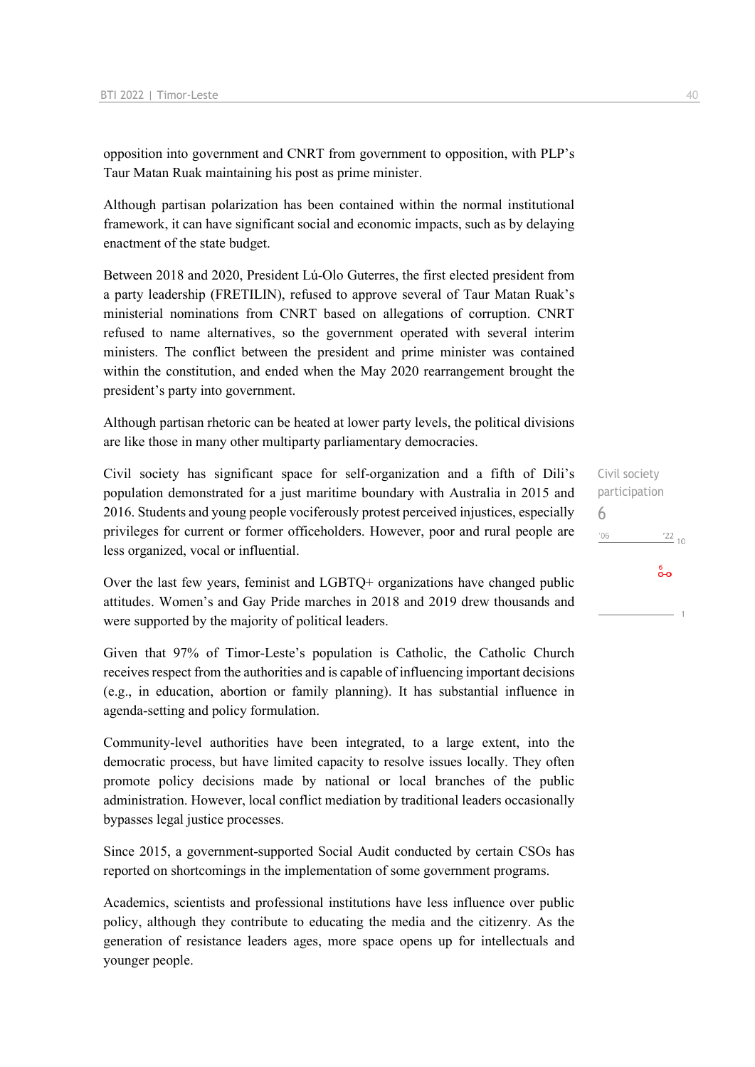opposition into government and CNRT from government to opposition, with PLP's Taur Matan Ruak maintaining his post as prime minister.

Although partisan polarization has been contained within the normal institutional framework, it can have significant social and economic impacts, such as by delaying enactment of the state budget.

Between 2018 and 2020, President Lú-Olo Guterres, the first elected president from a party leadership (FRETILIN), refused to approve several of Taur Matan Ruak's ministerial nominations from CNRT based on allegations of corruption. CNRT refused to name alternatives, so the government operated with several interim ministers. The conflict between the president and prime minister was contained within the constitution, and ended when the May 2020 rearrangement brought the president's party into government.

Although partisan rhetoric can be heated at lower party levels, the political divisions are like those in many other multiparty parliamentary democracies.

Civil society has significant space for self-organization and a fifth of Dili's population demonstrated for a just maritime boundary with Australia in 2015 and 2016. Students and young people vociferously protest perceived injustices, especially privileges for current or former officeholders. However, poor and rural people are less organized, vocal or influential.

Over the last few years, feminist and LGBTQ+ organizations have changed public attitudes. Women's and Gay Pride marches in 2018 and 2019 drew thousands and were supported by the majority of political leaders.

Given that 97% of Timor-Leste's population is Catholic, the Catholic Church receives respect from the authorities and is capable of influencing important decisions (e.g., in education, abortion or family planning). It has substantial influence in agenda-setting and policy formulation.

Community-level authorities have been integrated, to a large extent, into the democratic process, but have limited capacity to resolve issues locally. They often promote policy decisions made by national or local branches of the public administration. However, local conflict mediation by traditional leaders occasionally bypasses legal justice processes.

Since 2015, a government-supported Social Audit conducted by certain CSOs has reported on shortcomings in the implementation of some government programs.

Academics, scientists and professional institutions have less influence over public policy, although they contribute to educating the media and the citizenry. As the generation of resistance leaders ages, more space opens up for intellectuals and younger people.

Civil society participation 6 $'06$  $\frac{22}{10}$ စိတ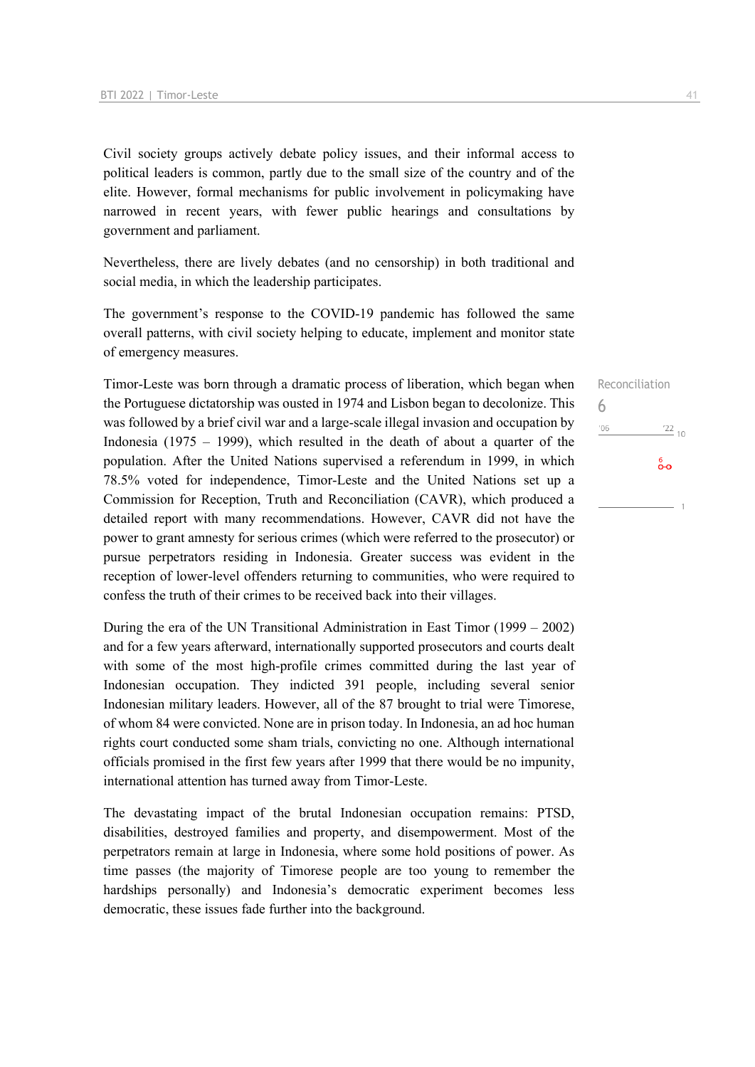Civil society groups actively debate policy issues, and their informal access to political leaders is common, partly due to the small size of the country and of the elite. However, formal mechanisms for public involvement in policymaking have narrowed in recent years, with fewer public hearings and consultations by government and parliament.

Nevertheless, there are lively debates (and no censorship) in both traditional and social media, in which the leadership participates.

The government's response to the COVID-19 pandemic has followed the same overall patterns, with civil society helping to educate, implement and monitor state of emergency measures.

Timor-Leste was born through a dramatic process of liberation, which began when the Portuguese dictatorship was ousted in 1974 and Lisbon began to decolonize. This was followed by a brief civil war and a large-scale illegal invasion and occupation by Indonesia (1975 – 1999), which resulted in the death of about a quarter of the population. After the United Nations supervised a referendum in 1999, in which 78.5% voted for independence, Timor-Leste and the United Nations set up a Commission for Reception, Truth and Reconciliation (CAVR), which produced a detailed report with many recommendations. However, CAVR did not have the power to grant amnesty for serious crimes (which were referred to the prosecutor) or pursue perpetrators residing in Indonesia. Greater success was evident in the reception of lower-level offenders returning to communities, who were required to confess the truth of their crimes to be received back into their villages.

During the era of the UN Transitional Administration in East Timor (1999 – 2002) and for a few years afterward, internationally supported prosecutors and courts dealt with some of the most high-profile crimes committed during the last year of Indonesian occupation. They indicted 391 people, including several senior Indonesian military leaders. However, all of the 87 brought to trial were Timorese, of whom 84 were convicted. None are in prison today. In Indonesia, an ad hoc human rights court conducted some sham trials, convicting no one. Although international officials promised in the first few years after 1999 that there would be no impunity, international attention has turned away from Timor-Leste.

The devastating impact of the brutal Indonesian occupation remains: PTSD, disabilities, destroyed families and property, and disempowerment. Most of the perpetrators remain at large in Indonesia, where some hold positions of power. As time passes (the majority of Timorese people are too young to remember the hardships personally) and Indonesia's democratic experiment becomes less democratic, these issues fade further into the background.

Reconciliation 6 $-06$  $\frac{22}{10}$ စိစ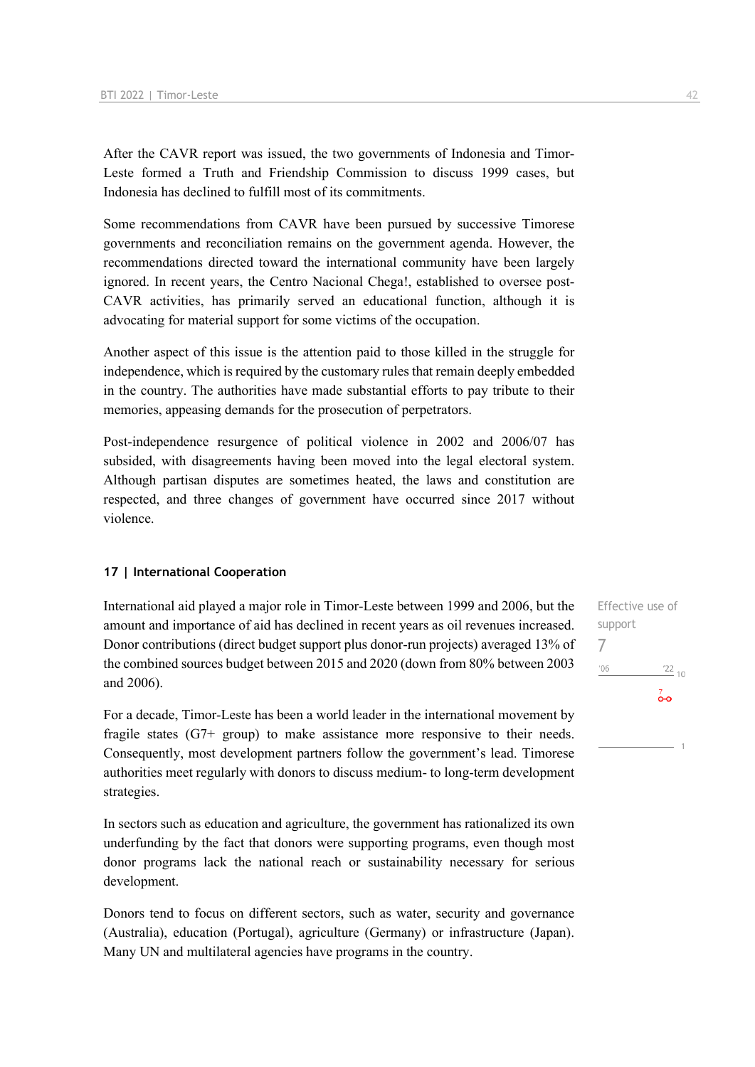After the CAVR report was issued, the two governments of Indonesia and Timor-Leste formed a Truth and Friendship Commission to discuss 1999 cases, but Indonesia has declined to fulfill most of its commitments.

Some recommendations from CAVR have been pursued by successive Timorese governments and reconciliation remains on the government agenda. However, the recommendations directed toward the international community have been largely ignored. In recent years, the Centro Nacional Chega!, established to oversee post-CAVR activities, has primarily served an educational function, although it is advocating for material support for some victims of the occupation.

Another aspect of this issue is the attention paid to those killed in the struggle for independence, which is required by the customary rules that remain deeply embedded in the country. The authorities have made substantial efforts to pay tribute to their memories, appeasing demands for the prosecution of perpetrators.

Post-independence resurgence of political violence in 2002 and 2006/07 has subsided, with disagreements having been moved into the legal electoral system. Although partisan disputes are sometimes heated, the laws and constitution are respected, and three changes of government have occurred since 2017 without violence.

#### **17 | International Cooperation**

International aid played a major role in Timor-Leste between 1999 and 2006, but the amount and importance of aid has declined in recent years as oil revenues increased. Donor contributions (direct budget support plus donor-run projects) averaged 13% of the combined sources budget between 2015 and 2020 (down from 80% between 2003 and 2006).

For a decade, Timor-Leste has been a world leader in the international movement by fragile states (G7+ group) to make assistance more responsive to their needs. Consequently, most development partners follow the government's lead. Timorese authorities meet regularly with donors to discuss medium- to long-term development strategies.

In sectors such as education and agriculture, the government has rationalized its own underfunding by the fact that donors were supporting programs, even though most donor programs lack the national reach or sustainability necessary for serious development.

Donors tend to focus on different sectors, such as water, security and governance (Australia), education (Portugal), agriculture (Germany) or infrastructure (Japan). Many UN and multilateral agencies have programs in the country.

Effective use of support 7 $'06$  $\frac{22}{10}$  $\overline{0}$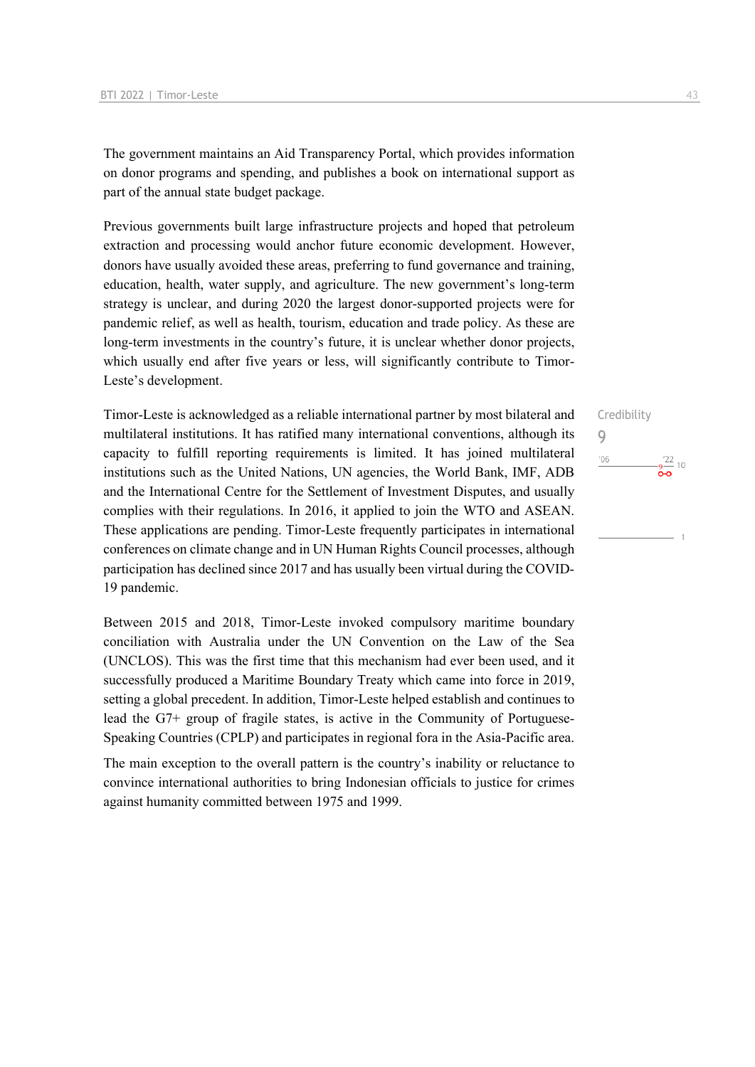The government maintains an Aid Transparency Portal, which provides information on donor programs and spending, and publishes a book on international support as part of the annual state budget package.

Previous governments built large infrastructure projects and hoped that petroleum extraction and processing would anchor future economic development. However, donors have usually avoided these areas, preferring to fund governance and training, education, health, water supply, and agriculture. The new government's long-term strategy is unclear, and during 2020 the largest donor-supported projects were for pandemic relief, as well as health, tourism, education and trade policy. As these are long-term investments in the country's future, it is unclear whether donor projects, which usually end after five years or less, will significantly contribute to Timor-Leste's development.

Timor-Leste is acknowledged as a reliable international partner by most bilateral and multilateral institutions. It has ratified many international conventions, although its capacity to fulfill reporting requirements is limited. It has joined multilateral institutions such as the United Nations, UN agencies, the World Bank, IMF, ADB and the International Centre for the Settlement of Investment Disputes, and usually complies with their regulations. In 2016, it applied to join the WTO and ASEAN. These applications are pending. Timor-Leste frequently participates in international conferences on climate change and in UN Human Rights Council processes, although participation has declined since 2017 and has usually been virtual during the COVID-19 pandemic.

Between 2015 and 2018, Timor-Leste invoked compulsory maritime boundary conciliation with Australia under the UN Convention on the Law of the Sea (UNCLOS). This was the first time that this mechanism had ever been used, and it successfully produced a Maritime Boundary Treaty which came into force in 2019, setting a global precedent. In addition, Timor-Leste helped establish and continues to lead the G7+ group of fragile states, is active in the Community of Portuguese-Speaking Countries (CPLP) and participates in regional fora in the Asia-Pacific area.

The main exception to the overall pattern is the country's inability or reluctance to convince international authorities to bring Indonesian officials to justice for crimes against humanity committed between 1975 and 1999.

# Credibility 9 $'06$  $\frac{22}{10}$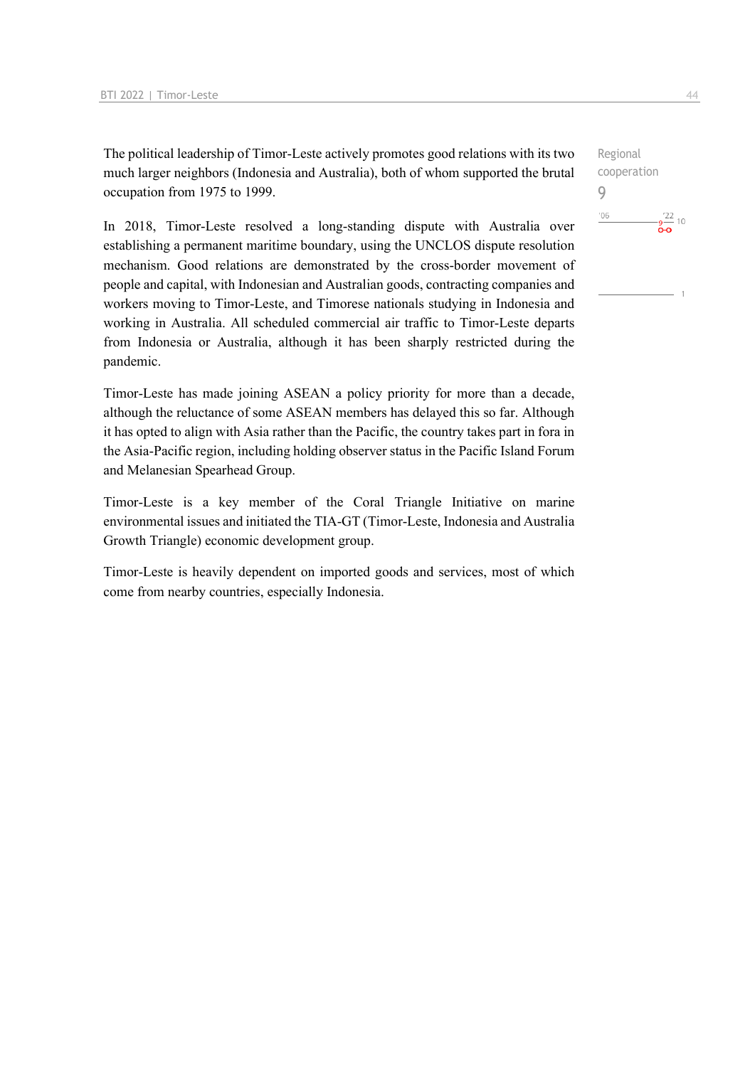The political leadership of Timor-Leste actively promotes good relations with its two much larger neighbors (Indonesia and Australia), both of whom supported the brutal occupation from 1975 to 1999.

In 2018, Timor-Leste resolved a long-standing dispute with Australia over establishing a permanent maritime boundary, using the UNCLOS dispute resolution mechanism. Good relations are demonstrated by the cross-border movement of people and capital, with Indonesian and Australian goods, contracting companies and workers moving to Timor-Leste, and Timorese nationals studying in Indonesia and working in Australia. All scheduled commercial air traffic to Timor-Leste departs from Indonesia or Australia, although it has been sharply restricted during the pandemic.

Timor-Leste has made joining ASEAN a policy priority for more than a decade, although the reluctance of some ASEAN members has delayed this so far. Although it has opted to align with Asia rather than the Pacific, the country takes part in fora in the Asia-Pacific region, including holding observer status in the Pacific Island Forum and Melanesian Spearhead Group.

Timor-Leste is a key member of the Coral Triangle Initiative on marine environmental issues and initiated the TIA-GT (Timor-Leste, Indonesia and Australia Growth Triangle) economic development group.

Timor-Leste is heavily dependent on imported goods and services, most of which come from nearby countries, especially Indonesia.

Regional cooperation 9 $^{\prime}06$  $-\frac{22}{9}$  10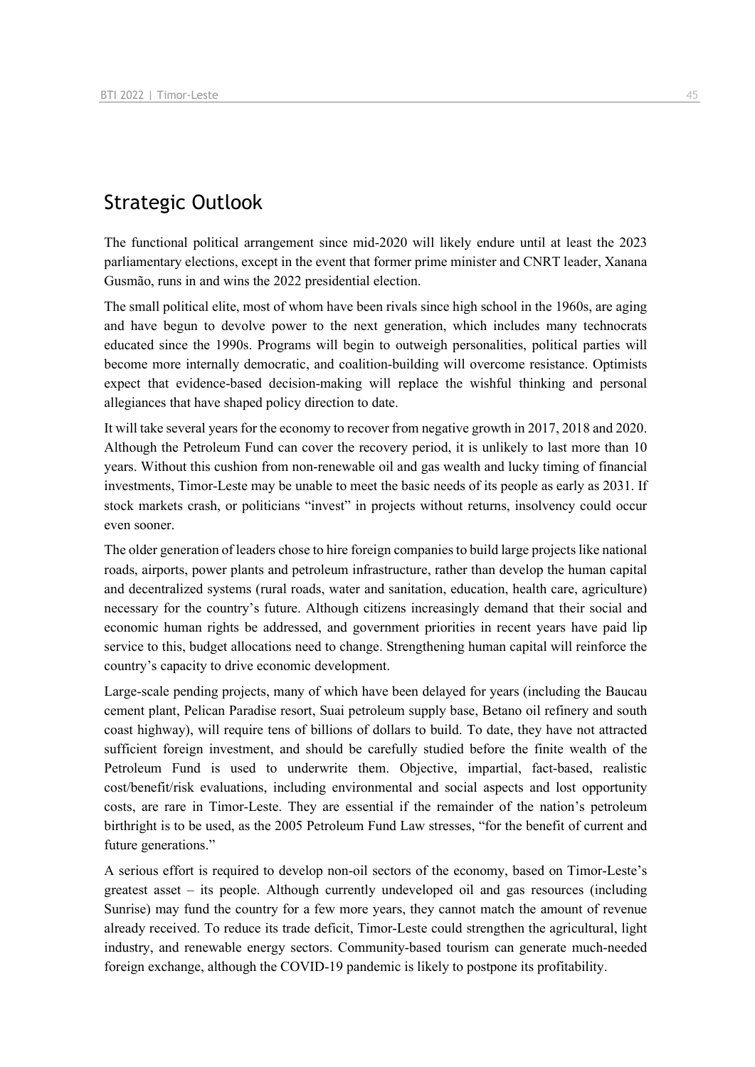## Strategic Outlook

The functional political arrangement since mid-2020 will likely endure until at least the 2023 parliamentary elections, except in the event that former prime minister and CNRT leader, Xanana Gusmão, runs in and wins the 2022 presidential election.

The small political elite, most of whom have been rivals since high school in the 1960s, are aging and have begun to devolve power to the next generation, which includes many technocrats educated since the 1990s. Programs will begin to outweigh personalities, political parties will become more internally democratic, and coalition-building will overcome resistance. Optimists expect that evidence-based decision-making will replace the wishful thinking and personal allegiances that have shaped policy direction to date.

It will take several years for the economy to recover from negative growth in 2017, 2018 and 2020. Although the Petroleum Fund can cover the recovery period, it is unlikely to last more than 10 years. Without this cushion from non-renewable oil and gas wealth and lucky timing of financial investments, Timor-Leste may be unable to meet the basic needs of its people as early as 2031. If stock markets crash, or politicians "invest" in projects without returns, insolvency could occur even sooner.

The older generation of leaders chose to hire foreign companies to build large projects like national roads, airports, power plants and petroleum infrastructure, rather than develop the human capital and decentralized systems (rural roads, water and sanitation, education, health care, agriculture) necessary for the country's future. Although citizens increasingly demand that their social and economic human rights be addressed, and government priorities in recent years have paid lip service to this, budget allocations need to change. Strengthening human capital will reinforce the country's capacity to drive economic development.

Large-scale pending projects, many of which have been delayed for years (including the Baucau cement plant, Pelican Paradise resort, Suai petroleum supply base, Betano oil refinery and south coast highway), will require tens of billions of dollars to build. To date, they have not attracted sufficient foreign investment, and should be carefully studied before the finite wealth of the Petroleum Fund is used to underwrite them. Objective, impartial, fact-based, realistic cost/benefit/risk evaluations, including environmental and social aspects and lost opportunity costs, are rare in Timor-Leste. They are essential if the remainder of the nation's petroleum birthright is to be used, as the 2005 Petroleum Fund Law stresses, "for the benefit of current and future generations."

A serious effort is required to develop non-oil sectors of the economy, based on Timor-Leste's greatest asset – its people. Although currently undeveloped oil and gas resources (including Sunrise) may fund the country for a few more years, they cannot match the amount of revenue already received. To reduce its trade deficit, Timor-Leste could strengthen the agricultural, light industry, and renewable energy sectors. Community-based tourism can generate much-needed foreign exchange, although the COVID-19 pandemic is likely to postpone its profitability.